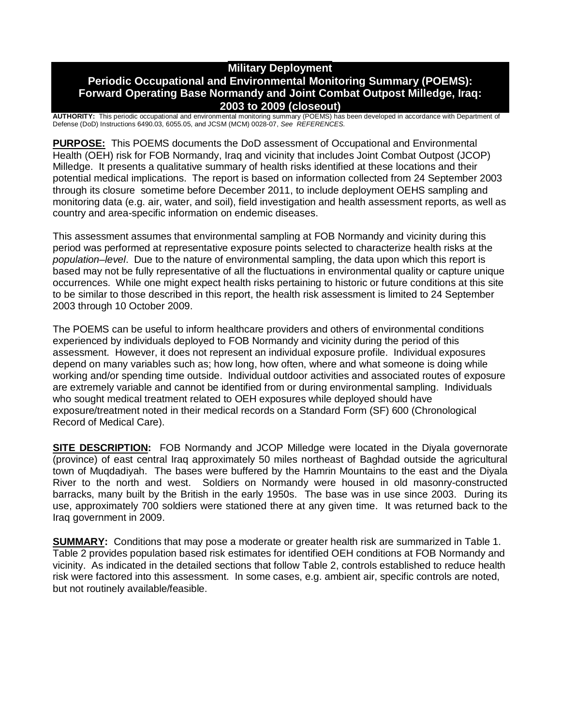### **Military Deployment Periodic Occupational and Environmental Monitoring Summary (POEMS): Forward Operating Base Normandy and Joint Combat Outpost Milledge, Iraq: 2003 to 2009 (closeout)**

**AUTHORITY:** This periodic occupational and environmental monitoring summary (POEMS) has been developed in accordance with Department of Defense (DoD) Instructions 6490.03, 6055.05, and JCSM (MCM) 0028-07, *See REFERENCES.*

**PURPOSE:** This POEMS documents the DoD assessment of Occupational and Environmental Health (OEH) risk for FOB Normandy, Iraq and vicinity that includes Joint Combat Outpost (JCOP) Milledge. It presents a qualitative summary of health risks identified at these locations and their potential medical implications. The report is based on information collected from 24 September 2003 through its closure sometime before December 2011, to include deployment OEHS sampling and monitoring data (e.g. air, water, and soil), field investigation and health assessment reports, as well as country and area-specific information on endemic diseases.

This assessment assumes that environmental sampling at FOB Normandy and vicinity during this period was performed at representative exposure points selected to characterize health risks at the *population–level*. Due to the nature of environmental sampling, the data upon which this report is based may not be fully representative of all the fluctuations in environmental quality or capture unique occurrences. While one might expect health risks pertaining to historic or future conditions at this site to be similar to those described in this report, the health risk assessment is limited to 24 September 2003 through 10 October 2009.

The POEMS can be useful to inform healthcare providers and others of environmental conditions experienced by individuals deployed to FOB Normandy and vicinity during the period of this assessment. However, it does not represent an individual exposure profile. Individual exposures depend on many variables such as; how long, how often, where and what someone is doing while working and/or spending time outside. Individual outdoor activities and associated routes of exposure are extremely variable and cannot be identified from or during environmental sampling. Individuals who sought medical treatment related to OEH exposures while deployed should have exposure/treatment noted in their medical records on a Standard Form (SF) 600 (Chronological Record of Medical Care).

**SITE DESCRIPTION:** FOB Normandy and JCOP Milledge were located in the Diyala governorate (province) of east central Iraq approximately 50 miles northeast of Baghdad outside the agricultural town of Muqdadiyah. The bases were buffered by the Hamrin Mountains to the east and the Diyala River to the north and west. Soldiers on Normandy were housed in old masonry-constructed barracks, many built by the British in the early 1950s. The base was in use since 2003. During its use, approximately 700 soldiers were stationed there at any given time. It was returned back to the Iraq government in 2009.

**SUMMARY:** Conditions that may pose a moderate or greater health risk are summarized in Table 1. Table 2 provides population based risk estimates for identified OEH conditions at FOB Normandy and vicinity. As indicated in the detailed sections that follow Table 2, controls established to reduce health risk were factored into this assessment. In some cases, e.g. ambient air, specific controls are noted, but not routinely available/feasible.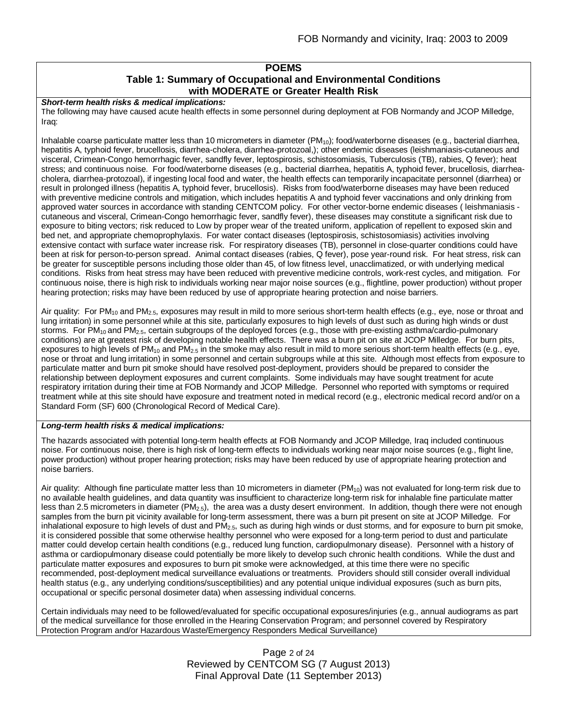#### **POEMS Table 1: Summary of Occupational and Environmental Conditions with MODERATE or Greater Health Risk**

*Short-term health risks & medical implications:*

The following may have caused acute health effects in some personnel during deployment at FOB Normandy and JCOP Milledge, Iraq:

Inhalable coarse particulate matter less than 10 micrometers in diameter  $(PM_{10})$ ; food/waterborne diseases (e.g., bacterial diarrhea, hepatitis A, typhoid fever, brucellosis, diarrhea-cholera, diarrhea-protozoal,); other endemic diseases (leishmaniasis-cutaneous and visceral, Crimean-Congo hemorrhagic fever, sandfly fever, leptospirosis, schistosomiasis, Tuberculosis (TB), rabies, Q fever); heat stress; and continuous noise. For food/waterborne diseases (e.g., bacterial diarrhea, hepatitis A, typhoid fever, brucellosis, diarrheacholera, diarrhea-protozoal), if ingesting local food and water, the health effects can temporarily incapacitate personnel (diarrhea) or result in prolonged illness (hepatitis A, typhoid fever, brucellosis). Risks from food/waterborne diseases may have been reduced with preventive medicine controls and mitigation, which includes hepatitis A and typhoid fever vaccinations and only drinking from approved water sources in accordance with standing CENTCOM policy. For other vector-borne endemic diseases ( leishmaniasis cutaneous and visceral, Crimean-Congo hemorrhagic fever, sandfly fever), these diseases may constitute a significant risk due to exposure to biting vectors; risk reduced to Low by proper wear of the treated uniform, application of repellent to exposed skin and bed net, and appropriate chemoprophylaxis. For water contact diseases (leptospirosis, schistosomiasis) activities involving extensive contact with surface water increase risk. For respiratory diseases (TB), personnel in close-quarter conditions could have been at risk for person-to-person spread. Animal contact diseases (rabies, Q fever), pose year-round risk. For heat stress, risk can be greater for susceptible persons including those older than 45, of low fitness level, unacclimatized, or with underlying medical conditions. Risks from heat stress may have been reduced with preventive medicine controls, work-rest cycles, and mitigation. For continuous noise, there is high risk to individuals working near major noise sources (e.g., flightline, power production) without proper hearing protection; risks may have been reduced by use of appropriate hearing protection and noise barriers.

Air quality: For PM<sub>10</sub> and PM<sub>2.5</sub>, exposures may result in mild to more serious short-term health effects (e.g., eye, nose or throat and lung irritation) in some personnel while at this site, particularly exposures to high levels of dust such as during high winds or dust storms. For PM<sub>10</sub> and PM<sub>2.5</sub>, certain subgroups of the deployed forces (e.g., those with pre-existing asthma/cardio-pulmonary conditions) are at greatest risk of developing notable health effects. There was a burn pit on site at JCOP Milledge. For burn pits, exposures to high levels of PM<sub>10</sub> and PM<sub>2.5</sub> in the smoke may also result in mild to more serious short-term health effects (e.g., eye, nose or throat and lung irritation) in some personnel and certain subgroups while at this site. Although most effects from exposure to particulate matter and burn pit smoke should have resolved post-deployment, providers should be prepared to consider the relationship between deployment exposures and current complaints. Some individuals may have sought treatment for acute respiratory irritation during their time at FOB Normandy and JCOP Milledge. Personnel who reported with symptoms or required treatment while at this site should have exposure and treatment noted in medical record (e.g., electronic medical record and/or on a Standard Form (SF) 600 (Chronological Record of Medical Care).

#### *Long-term health risks & medical implications:*

The hazards associated with potential long-term health effects at FOB Normandy and JCOP Milledge, Iraq included continuous noise. For continuous noise, there is high risk of long-term effects to individuals working near major noise sources (e.g., flight line, power production) without proper hearing protection; risks may have been reduced by use of appropriate hearing protection and noise barriers.

Air quality: Although fine particulate matter less than 10 micrometers in diameter (PM<sub>10</sub>) was not evaluated for long-term risk due to no available health guidelines, and data quantity was insufficient to characterize long-term risk for inhalable fine particulate matter less than 2.5 micrometers in diameter ( $PM_{2.5}$ ), the area was a dusty desert environment. In addition, though there were not enough samples from the burn pit vicinity available for long-term assessment, there was a burn pit present on site at JCOP Milledge. For inhalational exposure to high levels of dust and  $PM<sub>2.5</sub>$ , such as during high winds or dust storms, and for exposure to burn pit smoke, it is considered possible that some otherwise healthy personnel who were exposed for a long-term period to dust and particulate matter could develop certain health conditions (e.g., reduced lung function, cardiopulmonary disease). Personnel with a history of asthma or cardiopulmonary disease could potentially be more likely to develop such chronic health conditions. While the dust and particulate matter exposures and exposures to burn pit smoke were acknowledged, at this time there were no specific recommended, post-deployment medical surveillance evaluations or treatments. Providers should still consider overall individual health status (e.g., any underlying conditions/susceptibilities) and any potential unique individual exposures (such as burn pits, occupational or specific personal dosimeter data) when assessing individual concerns.

Certain individuals may need to be followed/evaluated for specific occupational exposures/injuries (e.g., annual audiograms as part of the medical surveillance for those enrolled in the Hearing Conservation Program; and personnel covered by Respiratory Protection Program and/or Hazardous Waste/Emergency Responders Medical Surveillance)

### Page 2 of 24 Reviewed by CENTCOM SG (7 August 2013) Final Approval Date (11 September 2013)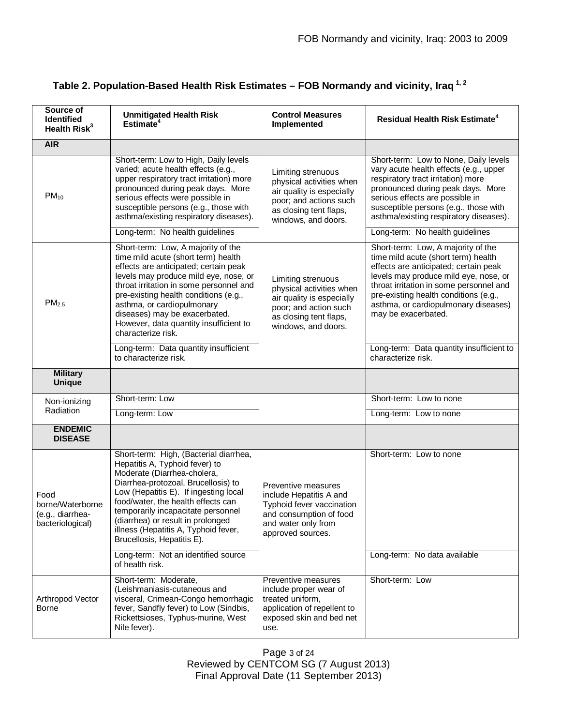| Source of<br>Identified<br>Health Risk <sup>3</sup>              | <b>Unmitigated Health Risk</b><br>Estimate <sup>4</sup>                                                                                                                                                                                                                                                                                                                                                               | <b>Control Measures</b><br>Implemented                                                                                                                 | Residual Health Risk Estimate <sup>4</sup>                                                                                                                                                                                                                                                                     |
|------------------------------------------------------------------|-----------------------------------------------------------------------------------------------------------------------------------------------------------------------------------------------------------------------------------------------------------------------------------------------------------------------------------------------------------------------------------------------------------------------|--------------------------------------------------------------------------------------------------------------------------------------------------------|----------------------------------------------------------------------------------------------------------------------------------------------------------------------------------------------------------------------------------------------------------------------------------------------------------------|
| <b>AIR</b>                                                       |                                                                                                                                                                                                                                                                                                                                                                                                                       |                                                                                                                                                        |                                                                                                                                                                                                                                                                                                                |
| $PM_{10}$                                                        | Short-term: Low to High, Daily levels<br>varied; acute health effects (e.g.,<br>upper respiratory tract irritation) more<br>pronounced during peak days. More<br>serious effects were possible in<br>susceptible persons (e.g., those with<br>asthma/existing respiratory diseases).                                                                                                                                  | Limiting strenuous<br>physical activities when<br>air quality is especially<br>poor; and actions such<br>as closing tent flaps,<br>windows, and doors. | Short-term: Low to None, Daily levels<br>vary acute health effects (e.g., upper<br>respiratory tract irritation) more<br>pronounced during peak days. More<br>serious effects are possible in<br>susceptible persons (e.g., those with<br>asthma/existing respiratory diseases).                               |
|                                                                  | Long-term: No health guidelines                                                                                                                                                                                                                                                                                                                                                                                       |                                                                                                                                                        | Long-term: No health guidelines                                                                                                                                                                                                                                                                                |
| PM <sub>2.5</sub>                                                | Short-term: Low, A majority of the<br>time mild acute (short term) health<br>effects are anticipated; certain peak<br>levels may produce mild eye, nose, or<br>throat irritation in some personnel and<br>pre-existing health conditions (e.g.,<br>asthma, or cardiopulmonary<br>diseases) may be exacerbated.<br>However, data quantity insufficient to<br>characterize risk.                                        | Limiting strenuous<br>physical activities when<br>air quality is especially<br>poor; and action such<br>as closing tent flaps,<br>windows, and doors.  | Short-term: Low, A majority of the<br>time mild acute (short term) health<br>effects are anticipated; certain peak<br>levels may produce mild eye, nose, or<br>throat irritation in some personnel and<br>pre-existing health conditions (e.g.,<br>asthma, or cardiopulmonary diseases)<br>may be exacerbated. |
|                                                                  | Long-term: Data quantity insufficient<br>to characterize risk.                                                                                                                                                                                                                                                                                                                                                        |                                                                                                                                                        | Long-term: Data quantity insufficient to<br>characterize risk.                                                                                                                                                                                                                                                 |
| <b>Military</b><br><b>Unique</b>                                 |                                                                                                                                                                                                                                                                                                                                                                                                                       |                                                                                                                                                        |                                                                                                                                                                                                                                                                                                                |
| Non-ionizing                                                     | Short-term: Low                                                                                                                                                                                                                                                                                                                                                                                                       |                                                                                                                                                        | Short-term: Low to none                                                                                                                                                                                                                                                                                        |
| Radiation                                                        | Long-term: Low                                                                                                                                                                                                                                                                                                                                                                                                        |                                                                                                                                                        | Long-term: Low to none                                                                                                                                                                                                                                                                                         |
| <b>ENDEMIC</b><br><b>DISEASE</b>                                 |                                                                                                                                                                                                                                                                                                                                                                                                                       |                                                                                                                                                        |                                                                                                                                                                                                                                                                                                                |
| Food<br>borne/Waterborne<br>(e.g., diarrhea-<br>bacteriological) | Short-term: High, (Bacterial diarrhea,<br>Hepatitis A, Typhoid fever) to<br>Moderate (Diarrhea-cholera,<br>Diarrhea-protozoal, Brucellosis) to<br>Low (Hepatitis E). If ingesting local<br>food/water, the health effects can<br>temporarily incapacitate personnel<br>(diarrhea) or result in prolonged<br>illness (Hepatitis A, Typhoid fever,<br>Brucellosis, Hepatitis E).<br>Long-term: Not an identified source | Preventive measures<br>include Hepatitis A and<br>Typhoid fever vaccination<br>and consumption of food<br>and water only from<br>approved sources.     | Short-term: Low to none<br>Long-term: No data available                                                                                                                                                                                                                                                        |
|                                                                  | of health risk.                                                                                                                                                                                                                                                                                                                                                                                                       |                                                                                                                                                        |                                                                                                                                                                                                                                                                                                                |
| Arthropod Vector<br>Borne                                        | Short-term: Moderate,<br>(Leishmaniasis-cutaneous and<br>visceral, Crimean-Congo hemorrhagic<br>fever, Sandfly fever) to Low (Sindbis,<br>Rickettsioses, Typhus-murine, West<br>Nile fever).                                                                                                                                                                                                                          | Preventive measures<br>include proper wear of<br>treated uniform,<br>application of repellent to<br>exposed skin and bed net<br>use.                   | Short-term: Low                                                                                                                                                                                                                                                                                                |

# **Table 2. Population-Based Health Risk Estimates – FOB Normandy and vicinity, Iraq 1, 2**

Page 3 of 24 Reviewed by CENTCOM SG (7 August 2013) Final Approval Date (11 September 2013)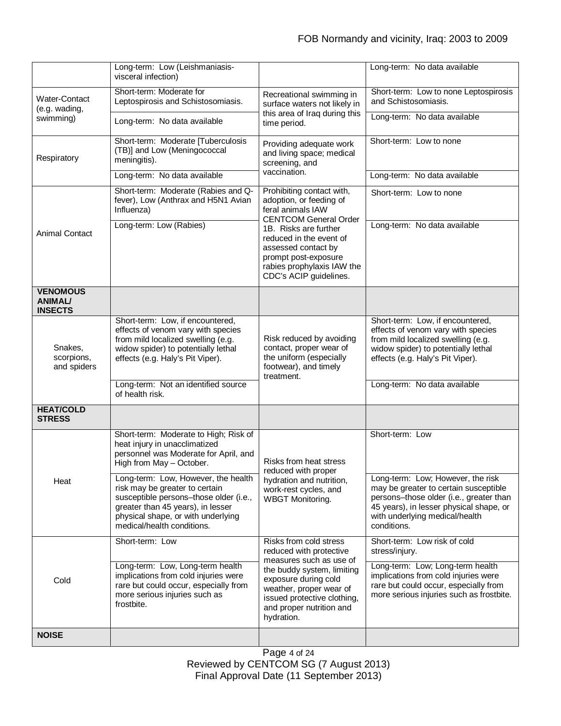|                                                     | Long-term: Low (Leishmaniasis-<br>visceral infection)                                                                                                                                                                          |                                                                                                                                                                                                                                                                      | Long-term: No data available                                                                                                                                                                                            |
|-----------------------------------------------------|--------------------------------------------------------------------------------------------------------------------------------------------------------------------------------------------------------------------------------|----------------------------------------------------------------------------------------------------------------------------------------------------------------------------------------------------------------------------------------------------------------------|-------------------------------------------------------------------------------------------------------------------------------------------------------------------------------------------------------------------------|
| Water-Contact<br>(e.g. wading,<br>swimming)         | Short-term: Moderate for<br>Leptospirosis and Schistosomiasis.                                                                                                                                                                 | Recreational swimming in<br>surface waters not likely in<br>this area of Iraq during this<br>time period.                                                                                                                                                            | Short-term: Low to none Leptospirosis<br>and Schistosomiasis.                                                                                                                                                           |
|                                                     | Long-term: No data available                                                                                                                                                                                                   |                                                                                                                                                                                                                                                                      | Long-term: No data available                                                                                                                                                                                            |
| Respiratory                                         | Short-term: Moderate [Tuberculosis<br>(TB)] and Low (Meningococcal<br>meningitis).                                                                                                                                             | Providing adequate work<br>and living space; medical<br>screening, and<br>vaccination.                                                                                                                                                                               | Short-term: Low to none                                                                                                                                                                                                 |
|                                                     | Long-term: No data available                                                                                                                                                                                                   |                                                                                                                                                                                                                                                                      | Long-term: No data available                                                                                                                                                                                            |
| <b>Animal Contact</b>                               | Short-term: Moderate (Rabies and Q-<br>fever), Low (Anthrax and H5N1 Avian<br>Influenza)                                                                                                                                       | Prohibiting contact with,<br>adoption, or feeding of<br>feral animals IAW<br><b>CENTCOM General Order</b><br>1B. Risks are further<br>reduced in the event of<br>assessed contact by<br>prompt post-exposure<br>rabies prophylaxis IAW the<br>CDC's ACIP guidelines. | Short-term: Low to none                                                                                                                                                                                                 |
|                                                     | Long-term: Low (Rabies)                                                                                                                                                                                                        |                                                                                                                                                                                                                                                                      | Long-term: No data available                                                                                                                                                                                            |
| <b>VENOMOUS</b><br><b>ANIMAL/</b><br><b>INSECTS</b> |                                                                                                                                                                                                                                |                                                                                                                                                                                                                                                                      |                                                                                                                                                                                                                         |
| Snakes,<br>scorpions,<br>and spiders                | Short-term: Low, if encountered,<br>effects of venom vary with species<br>from mild localized swelling (e.g.<br>widow spider) to potentially lethal<br>effects (e.g. Haly's Pit Viper).<br>Long-term: Not an identified source | Risk reduced by avoiding<br>contact, proper wear of<br>the uniform (especially<br>footwear), and timely<br>treatment.                                                                                                                                                | Short-term: Low, if encountered,<br>effects of venom vary with species<br>from mild localized swelling (e.g.<br>widow spider) to potentially lethal<br>effects (e.g. Haly's Pit Viper).<br>Long-term: No data available |
|                                                     | of health risk.                                                                                                                                                                                                                |                                                                                                                                                                                                                                                                      |                                                                                                                                                                                                                         |
| <b>HEAT/COLD</b><br><b>STRESS</b>                   |                                                                                                                                                                                                                                |                                                                                                                                                                                                                                                                      |                                                                                                                                                                                                                         |
| Heat                                                | Short-term: Moderate to High; Risk of<br>heat injury in unacclimatized<br>personnel was Moderate for April, and<br>High from May - October.                                                                                    | Risks from heat stress<br>reduced with proper<br>hydration and nutrition,<br>work-rest cycles, and<br><b>WBGT Monitoring.</b>                                                                                                                                        | Short-term: Low                                                                                                                                                                                                         |
|                                                     | Long-term: Low, However, the health<br>risk may be greater to certain<br>susceptible persons-those older (i.e.,<br>greater than 45 years), in lesser<br>physical shape, or with underlying<br>medical/health conditions.       |                                                                                                                                                                                                                                                                      | Long-term: Low; However, the risk<br>may be greater to certain susceptible<br>persons-those older (i.e., greater than<br>45 years), in lesser physical shape, or<br>with underlying medical/health<br>conditions.       |
| Cold                                                | Short-term: Low                                                                                                                                                                                                                | Risks from cold stress<br>reduced with protective                                                                                                                                                                                                                    | Short-term: Low risk of cold<br>stress/injury.                                                                                                                                                                          |
|                                                     | Long-term: Low, Long-term health<br>implications from cold injuries were<br>rare but could occur, especially from<br>more serious injuries such as<br>frostbite.                                                               | measures such as use of<br>the buddy system, limiting<br>exposure during cold<br>weather, proper wear of<br>issued protective clothing,<br>and proper nutrition and<br>hydration.                                                                                    | Long-term: Low; Long-term health<br>implications from cold injuries were<br>rare but could occur, especially from<br>more serious injuries such as frostbite.                                                           |
| <b>NOISE</b>                                        |                                                                                                                                                                                                                                |                                                                                                                                                                                                                                                                      |                                                                                                                                                                                                                         |

Page 4 of 24 Reviewed by CENTCOM SG (7 August 2013) Final Approval Date (11 September 2013)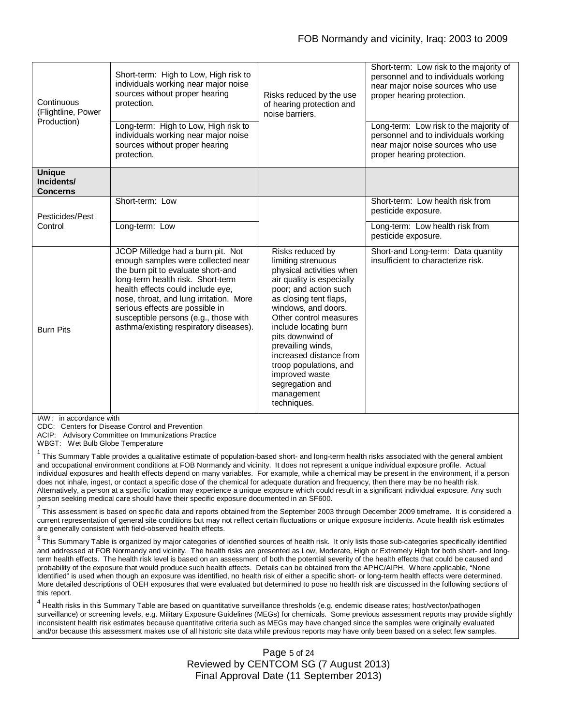| Continuous<br>(Flightline, Power<br>Production) | Short-term: High to Low, High risk to<br>individuals working near major noise<br>sources without proper hearing<br>protection.<br>Long-term: High to Low, High risk to<br>individuals working near major noise<br>sources without proper hearing<br>protection.                                                                                          | Risks reduced by the use<br>of hearing protection and<br>noise barriers.                                                                                                                                                                                                                                                                                                                     | Short-term: Low risk to the majority of<br>personnel and to individuals working<br>near major noise sources who use<br>proper hearing protection.<br>Long-term: Low risk to the majority of<br>personnel and to individuals working<br>near major noise sources who use<br>proper hearing protection. |
|-------------------------------------------------|----------------------------------------------------------------------------------------------------------------------------------------------------------------------------------------------------------------------------------------------------------------------------------------------------------------------------------------------------------|----------------------------------------------------------------------------------------------------------------------------------------------------------------------------------------------------------------------------------------------------------------------------------------------------------------------------------------------------------------------------------------------|-------------------------------------------------------------------------------------------------------------------------------------------------------------------------------------------------------------------------------------------------------------------------------------------------------|
| <b>Unique</b><br>Incidents/<br><b>Concerns</b>  |                                                                                                                                                                                                                                                                                                                                                          |                                                                                                                                                                                                                                                                                                                                                                                              |                                                                                                                                                                                                                                                                                                       |
| Pesticides/Pest<br>Control                      | Short-term: Low                                                                                                                                                                                                                                                                                                                                          |                                                                                                                                                                                                                                                                                                                                                                                              | Short-term: Low health risk from<br>pesticide exposure.                                                                                                                                                                                                                                               |
|                                                 | Long-term: Low                                                                                                                                                                                                                                                                                                                                           |                                                                                                                                                                                                                                                                                                                                                                                              | Long-term: Low health risk from<br>pesticide exposure.                                                                                                                                                                                                                                                |
| <b>Burn Pits</b>                                | JCOP Milledge had a burn pit. Not<br>enough samples were collected near<br>the burn pit to evaluate short-and<br>long-term health risk. Short-term<br>health effects could include eye,<br>nose, throat, and lung irritation. More<br>serious effects are possible in<br>susceptible persons (e.g., those with<br>asthma/existing respiratory diseases). | Risks reduced by<br>limiting strenuous<br>physical activities when<br>air quality is especially<br>poor; and action such<br>as closing tent flaps,<br>windows, and doors.<br>Other control measures<br>include locating burn<br>pits downwind of<br>prevailing winds,<br>increased distance from<br>troop populations, and<br>improved waste<br>segregation and<br>management<br>techniques. | Short-and Long-term: Data quantity<br>insufficient to characterize risk.                                                                                                                                                                                                                              |

IAW: in accordance with

CDC: Centers for Disease Control and Prevention

ACIP: Advisory Committee on Immunizations Practice

WBGT: Wet Bulb Globe Temperature

<sup>1</sup> This Summary Table provides a qualitative estimate of population-based short- and long-term health risks associated with the general ambient and occupational environment conditions at FOB Normandy and vicinity. It does not represent a unique individual exposure profile. Actual individual exposures and health effects depend on many variables. For example, while a chemical may be present in the environment, if a person does not inhale, ingest, or contact a specific dose of the chemical for adequate duration and frequency, then there may be no health risk. Alternatively, a person at a specific location may experience a unique exposure which could result in a significant individual exposure. Any such person seeking medical care should have their specific exposure documented in an SF600.

 $^2$  This assessment is based on specific data and reports obtained from the September 2003 through December 2009 timeframe. It is considered a  $\; \; | \;$ current representation of general site conditions but may not reflect certain fluctuations or unique exposure incidents. Acute health risk estimates are generally consistent with field-observed health effects.

 $^3$  This Summary Table is organized by major categories of identified sources of health risk. It only lists those sub-categories specifically identified and addressed at FOB Normandy and vicinity. The health risks are presented as Low, Moderate, High or Extremely High for both short- and longterm health effects. The health risk level is based on an assessment of both the potential severity of the health effects that could be caused and probability of the exposure that would produce such health effects. Details can be obtained from the APHC/AIPH. Where applicable, "None Identified" is used when though an exposure was identified, no health risk of either a specific short- or long-term health effects were determined. More detailed descriptions of OEH exposures that were evaluated but determined to pose no health risk are discussed in the following sections of this report.

<sup>4</sup> Health risks in this Summary Table are based on quantitative surveillance thresholds (e.g. endemic disease rates; host/vector/pathogen surveillance) or screening levels, e.g. Military Exposure Guidelines (MEGs) for chemicals*.* Some previous assessment reports may provide slightly inconsistent health risk estimates because quantitative criteria such as MEGs may have changed since the samples were originally evaluated and/or because this assessment makes use of all historic site data while previous reports may have only been based on a select few samples.

### Page 5 of 24 Reviewed by CENTCOM SG (7 August 2013) Final Approval Date (11 September 2013)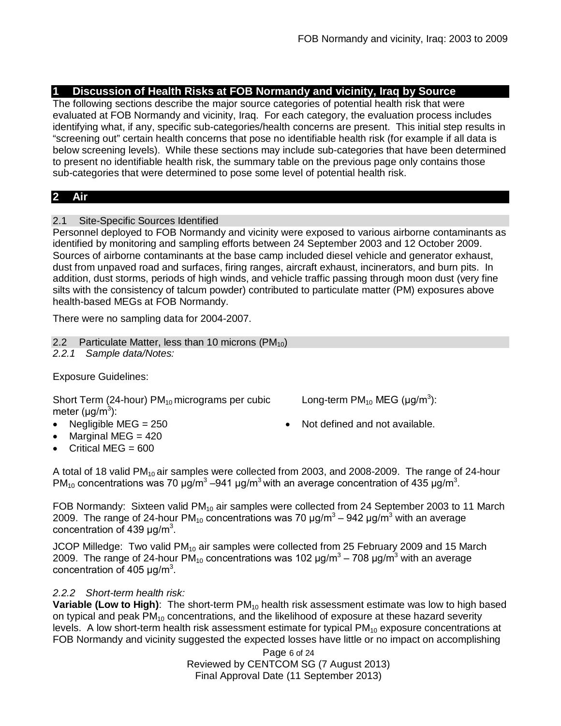# **1 Discussion of Health Risks at FOB Normandy and vicinity, Iraq by Source**

The following sections describe the major source categories of potential health risk that were evaluated at FOB Normandy and vicinity, Iraq. For each category, the evaluation process includes identifying what, if any, specific sub-categories/health concerns are present. This initial step results in "screening out" certain health concerns that pose no identifiable health risk (for example if all data is below screening levels). While these sections may include sub-categories that have been determined to present no identifiable health risk, the summary table on the previous page only contains those sub-categories that were determined to pose some level of potential health risk.

# **2 Air**

2.1 Site-Specific Sources Identified

Personnel deployed to FOB Normandy and vicinity were exposed to various airborne contaminants as identified by monitoring and sampling efforts between 24 September 2003 and 12 October 2009. Sources of airborne contaminants at the base camp included diesel vehicle and generator exhaust, dust from unpaved road and surfaces, firing ranges, aircraft exhaust, incinerators, and burn pits. In addition, dust storms, periods of high winds, and vehicle traffic passing through moon dust (very fine silts with the consistency of talcum powder) contributed to particulate matter (PM) exposures above health-based MEGs at FOB Normandy.

There were no sampling data for 2004-2007.

2.2 Particulate Matter, less than 10 microns  $(PM_{10})$ 

*2.2.1 Sample data/Notes:*

Exposure Guidelines:

Short Term (24-hour)  $PM_{10}$  micrograms per cubic meter (μg/m<sup>3</sup>):

- Marginal MEG  $= 420$
- Critical MFG  $= 600$
- Long-term  $PM_{10}$  MEG (µg/m<sup>3</sup>):
- Negligible MEG = 250 **a** Not defined and not available.

A total of 18 valid PM<sub>10</sub> air samples were collected from 2003, and 2008-2009. The range of 24-hour PM<sub>10</sub> concentrations was 70  $\mu$ g/m<sup>3</sup> –941  $\mu$ g/m<sup>3</sup> with an average concentration of 435  $\mu$ g/m<sup>3</sup>.

FOB Normandy: Sixteen valid PM<sub>10</sub> air samples were collected from 24 September 2003 to 11 March 2009. The range of 24-hour PM<sub>10</sub> concentrations was 70 μg/m<sup>3</sup> – 942 μg/m<sup>3</sup> with an average concentration of 439  $\mu$ g/m<sup>3</sup>.

JCOP Milledge: Two valid  $PM_{10}$  air samples were collected from 25 February 2009 and 15 March 2009. The range of 24-hour PM<sub>10</sub> concentrations was 102 μg/m<sup>3</sup> – 708 μg/m<sup>3</sup> with an average concentration of 405  $\mu$ g/m<sup>3</sup>.

# *2.2.2 Short-term health risk:*

**Variable (Low to High)**: The short-term PM<sub>10</sub> health risk assessment estimate was low to high based on typical and peak PM<sub>10</sub> concentrations, and the likelihood of exposure at these hazard severity levels. A low short-term health risk assessment estimate for typical  $PM_{10}$  exposure concentrations at FOB Normandy and vicinity suggested the expected losses have little or no impact on accomplishing

> Page 6 of 24 Reviewed by CENTCOM SG (7 August 2013) Final Approval Date (11 September 2013)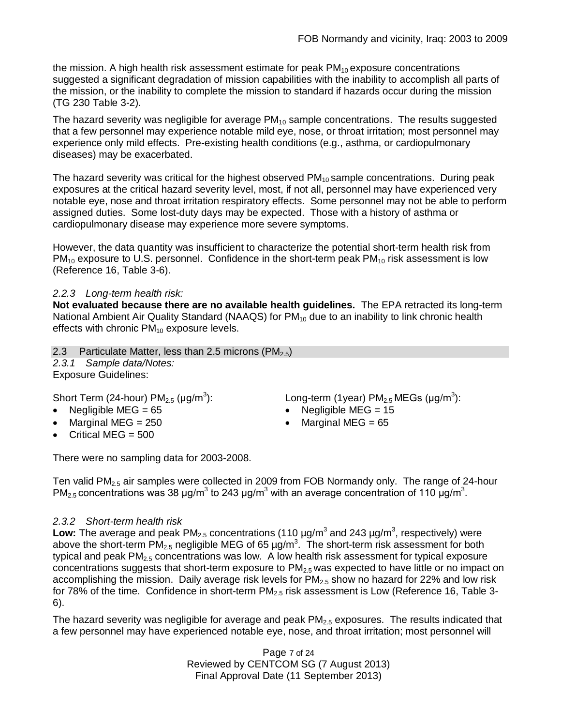the mission. A high health risk assessment estimate for peak  $PM_{10}$  exposure concentrations suggested a significant degradation of mission capabilities with the inability to accomplish all parts of the mission, or the inability to complete the mission to standard if hazards occur during the mission (TG 230 Table 3-2).

The hazard severity was negligible for average  $PM_{10}$  sample concentrations. The results suggested that a few personnel may experience notable mild eye, nose, or throat irritation; most personnel may experience only mild effects. Pre-existing health conditions (e.g., asthma, or cardiopulmonary diseases) may be exacerbated.

The hazard severity was critical for the highest observed  $PM_{10}$  sample concentrations. During peak exposures at the critical hazard severity level, most, if not all, personnel may have experienced very notable eye, nose and throat irritation respiratory effects. Some personnel may not be able to perform assigned duties. Some lost-duty days may be expected. Those with a history of asthma or cardiopulmonary disease may experience more severe symptoms.

However, the data quantity was insufficient to characterize the potential short-term health risk from  $PM_{10}$  exposure to U.S. personnel. Confidence in the short-term peak  $PM_{10}$  risk assessment is low (Reference 16, Table 3-6).

# *2.2.3 Long-term health risk:*

**Not evaluated because there are no available health guidelines.** The EPA retracted its long-term National Ambient Air Quality Standard (NAAQS) for  $PM_{10}$  due to an inability to link chronic health effects with chronic  $PM_{10}$  exposure levels.

2.3 Particulate Matter, less than 2.5 microns  $(PM_{2.5})$ *2.3.1 Sample data/Notes:* Exposure Guidelines:

Short Term (24-hour)  $PM_{2.5}$  (µg/m<sup>3</sup>

- 
- Marginal MEG =  $250$   $\bullet$  Marginal MEG =  $65$
- $\bullet$  Critical MEG = 500

There were no sampling data for 2003-2008.

Ten valid  $PM<sub>2.5</sub>$  air samples were collected in 2009 from FOB Normandy only. The range of 24-hour PM<sub>2.5</sub> concentrations was 38 µg/m<sup>3</sup> to 243 µg/m<sup>3</sup> with an average concentration of 110 µg/m<sup>3</sup>.

# *2.3.2 Short-term health risk*

Low: The average and peak PM<sub>2.5</sub> concentrations (110  $\mu$ g/m<sup>3</sup> and 243  $\mu$ g/m<sup>3</sup>, respectively) were above the short-term PM<sub>2.5</sub> negligible MEG of 65 µg/m<sup>3</sup>. The short-term risk assessment for both typical and peak  $PM<sub>2.5</sub>$  concentrations was low. A low health risk assessment for typical exposure concentrations suggests that short-term exposure to  $PM_{2.5}$  was expected to have little or no impact on accomplishing the mission. Daily average risk levels for  $PM<sub>2.5</sub>$  show no hazard for 22% and low risk for 78% of the time. Confidence in short-term  $PM_{2.5}$  risk assessment is Low (Reference 16, Table 3-6).

The hazard severity was negligible for average and peak  $PM<sub>2.5</sub>$  exposures. The results indicated that a few personnel may have experienced notable eye, nose, and throat irritation; most personnel will

> Page 7 of 24 Reviewed by CENTCOM SG (7 August 2013) Final Approval Date (11 September 2013)

): Long-term (1year)  $PM_{2.5}$  MEGs (µg/m<sup>3</sup>):

- Negligible MEG =  $65$   $\bullet$  Negligible MEG =  $15$ 
	-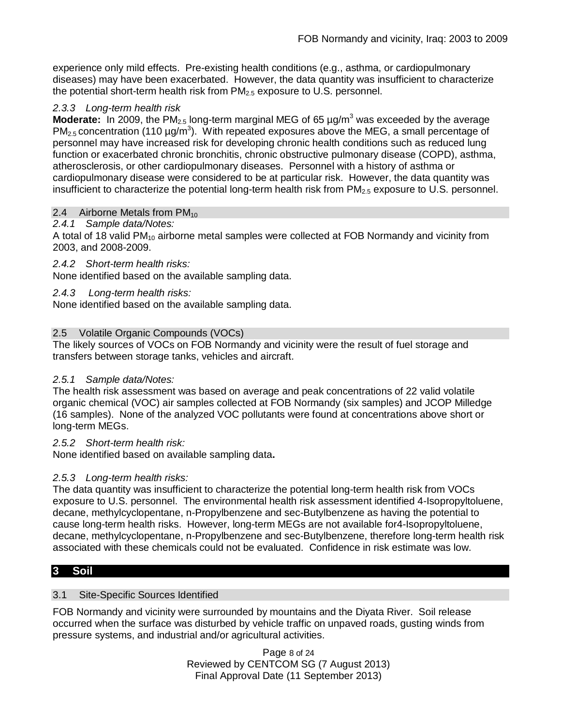experience only mild effects. Pre-existing health conditions (e.g., asthma, or cardiopulmonary diseases) may have been exacerbated. However, the data quantity was insufficient to characterize the potential short-term health risk from  $PM<sub>2.5</sub>$  exposure to U.S. personnel.

### *2.3.3 Long-term health risk*

**Moderate:** In 2009, the PM<sub>2.5</sub> long-term marginal MEG of 65  $\mu$ g/m<sup>3</sup> was exceeded by the average  $PM_{2.5}$  concentration (110  $\mu$ g/m<sup>3</sup>). With repeated exposures above the MEG, a small percentage of personnel may have increased risk for developing chronic health conditions such as reduced lung function or exacerbated chronic bronchitis, chronic obstructive pulmonary disease (COPD), asthma, atherosclerosis, or other cardiopulmonary diseases. Personnel with a history of asthma or cardiopulmonary disease were considered to be at particular risk. However, the data quantity was insufficient to characterize the potential long-term health risk from  $PM_{2.5}$  exposure to U.S. personnel.

### 2.4 Airborne Metals from  $PM_{10}$

### *2.4.1 Sample data/Notes:*

A total of 18 valid PM<sub>10</sub> airborne metal samples were collected at FOB Normandy and vicinity from 2003, and 2008-2009.

### *2.4.2 Short-term health risks:*

None identified based on the available sampling data.

### *2.4.3 Long-term health risks:*

None identified based on the available sampling data.

### 2.5 Volatile Organic Compounds (VOCs)

The likely sources of VOCs on FOB Normandy and vicinity were the result of fuel storage and transfers between storage tanks, vehicles and aircraft.

### *2.5.1 Sample data/Notes:*

The health risk assessment was based on average and peak concentrations of 22 valid volatile organic chemical (VOC) air samples collected at FOB Normandy (six samples) and JCOP Milledge (16 samples). None of the analyzed VOC pollutants were found at concentrations above short or long-term MEGs.

### *2.5.2 Short-term health risk:*

None identified based on available sampling data**.**

### *2.5.3 Long-term health risks:*

The data quantity was insufficient to characterize the potential long-term health risk from VOCs exposure to U.S. personnel. The environmental health risk assessment identified 4-Isopropyltoluene, decane, methylcyclopentane, n-Propylbenzene and sec-Butylbenzene as having the potential to cause long-term health risks. However, long-term MEGs are not available for4-Isopropyltoluene, decane, methylcyclopentane, n-Propylbenzene and sec-Butylbenzene, therefore long-term health risk associated with these chemicals could not be evaluated. Confidence in risk estimate was low.

# **3 Soil**

### 3.1 Site-Specific Sources Identified

FOB Normandy and vicinity were surrounded by mountains and the Diyata River. Soil release occurred when the surface was disturbed by vehicle traffic on unpaved roads, gusting winds from pressure systems, and industrial and/or agricultural activities.

> Page 8 of 24 Reviewed by CENTCOM SG (7 August 2013) Final Approval Date (11 September 2013)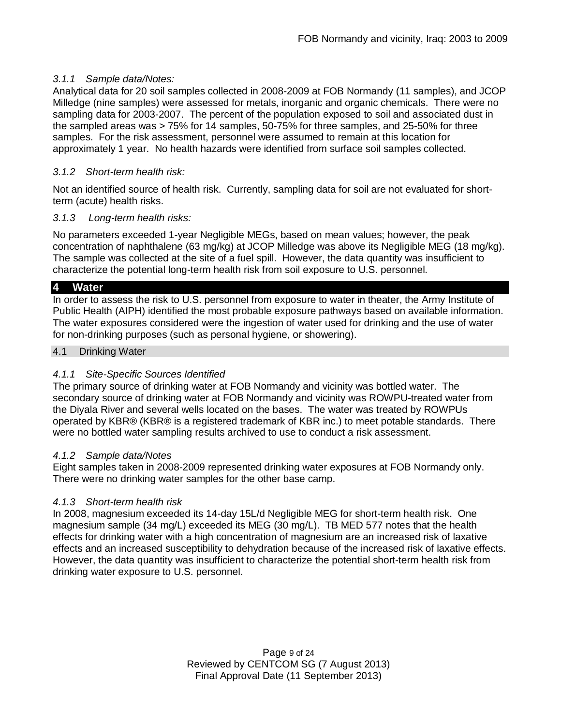### *3.1.1 Sample data/Notes:*

Analytical data for 20 soil samples collected in 2008-2009 at FOB Normandy (11 samples), and JCOP Milledge (nine samples) were assessed for metals, inorganic and organic chemicals. There were no sampling data for 2003-2007. The percent of the population exposed to soil and associated dust in the sampled areas was > 75% for 14 samples, 50-75% for three samples, and 25-50% for three samples. For the risk assessment, personnel were assumed to remain at this location for approximately 1 year. No health hazards were identified from surface soil samples collected.

### *3.1.2 Short-term health risk:*

Not an identified source of health risk. Currently, sampling data for soil are not evaluated for shortterm (acute) health risks.

### *3.1.3 Long-term health risks:*

No parameters exceeded 1-year Negligible MEGs, based on mean values; however, the peak concentration of naphthalene (63 mg/kg) at JCOP Milledge was above its Negligible MEG (18 mg/kg). The sample was collected at the site of a fuel spill. However, the data quantity was insufficient to characterize the potential long-term health risk from soil exposure to U.S. personnel.

### **4 Water**

In order to assess the risk to U.S. personnel from exposure to water in theater, the Army Institute of Public Health (AIPH) identified the most probable exposure pathways based on available information. The water exposures considered were the ingestion of water used for drinking and the use of water for non-drinking purposes (such as personal hygiene, or showering).

#### 4.1 Drinking Water

### *4.1.1 Site-Specific Sources Identified*

The primary source of drinking water at FOB Normandy and vicinity was bottled water. The secondary source of drinking water at FOB Normandy and vicinity was ROWPU-treated water from the Diyala River and several wells located on the bases. The water was treated by ROWPUs operated by KBR® (KBR® is a registered trademark of KBR inc.) to meet potable standards. There were no bottled water sampling results archived to use to conduct a risk assessment.

### *4.1.2 Sample data/Notes*

Eight samples taken in 2008-2009 represented drinking water exposures at FOB Normandy only. There were no drinking water samples for the other base camp.

### *4.1.3 Short-term health risk*

In 2008, magnesium exceeded its 14-day 15L/d Negligible MEG for short-term health risk. One magnesium sample (34 mg/L) exceeded its MEG (30 mg/L). TB MED 577 notes that the health effects for drinking water with a high concentration of magnesium are an increased risk of laxative effects and an increased susceptibility to dehydration because of the increased risk of laxative effects. However, the data quantity was insufficient to characterize the potential short-term health risk from drinking water exposure to U.S. personnel.

> Page 9 of 24 Reviewed by CENTCOM SG (7 August 2013) Final Approval Date (11 September 2013)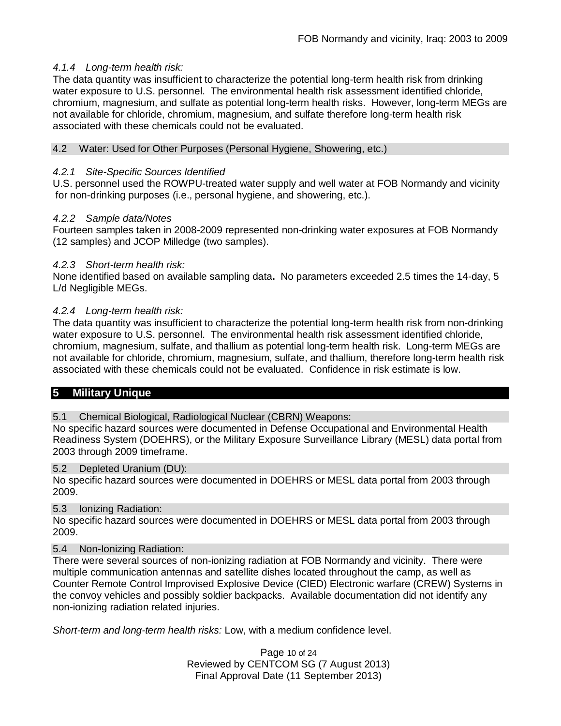### *4.1.4 Long-term health risk:*

The data quantity was insufficient to characterize the potential long-term health risk from drinking water exposure to U.S. personnel. The environmental health risk assessment identified chloride, chromium, magnesium, and sulfate as potential long-term health risks. However, long-term MEGs are not available for chloride, chromium, magnesium, and sulfate therefore long-term health risk associated with these chemicals could not be evaluated.

### 4.2 Water: Used for Other Purposes (Personal Hygiene, Showering, etc.)

### *4.2.1 Site-Specific Sources Identified*

U.S. personnel used the ROWPU-treated water supply and well water at FOB Normandy and vicinity for non-drinking purposes (i.e., personal hygiene, and showering, etc.).

### *4.2.2 Sample data/Notes*

Fourteen samples taken in 2008-2009 represented non-drinking water exposures at FOB Normandy (12 samples) and JCOP Milledge (two samples).

### *4.2.3 Short-term health risk:*

None identified based on available sampling data**.** No parameters exceeded 2.5 times the 14-day, 5 L/d Negligible MEGs.

### *4.2.4 Long-term health risk:*

The data quantity was insufficient to characterize the potential long-term health risk from non-drinking water exposure to U.S. personnel. The environmental health risk assessment identified chloride, chromium, magnesium, sulfate, and thallium as potential long-term health risk. Long-term MEGs are not available for chloride, chromium, magnesium, sulfate, and thallium, therefore long-term health risk associated with these chemicals could not be evaluated. Confidence in risk estimate is low.

# **5 Military Unique**

5.1 Chemical Biological, Radiological Nuclear (CBRN) Weapons:

No specific hazard sources were documented in Defense Occupational and Environmental Health Readiness System (DOEHRS), or the Military Exposure Surveillance Library (MESL) data portal from 2003 through 2009 timeframe.

### 5.2 Depleted Uranium (DU):

No specific hazard sources were documented in DOEHRS or MESL data portal from 2003 through 2009.

### 5.3 Ionizing Radiation:

No specific hazard sources were documented in DOEHRS or MESL data portal from 2003 through 2009.

### 5.4 Non-Ionizing Radiation:

There were several sources of non-ionizing radiation at FOB Normandy and vicinity. There were multiple communication antennas and satellite dishes located throughout the camp, as well as Counter Remote Control Improvised Explosive Device (CIED) Electronic warfare (CREW) Systems in the convoy vehicles and possibly soldier backpacks. Available documentation did not identify any non-ionizing radiation related injuries.

*Short-term and long-term health risks:* Low, with a medium confidence level.

Page 10 of 24 Reviewed by CENTCOM SG (7 August 2013) Final Approval Date (11 September 2013)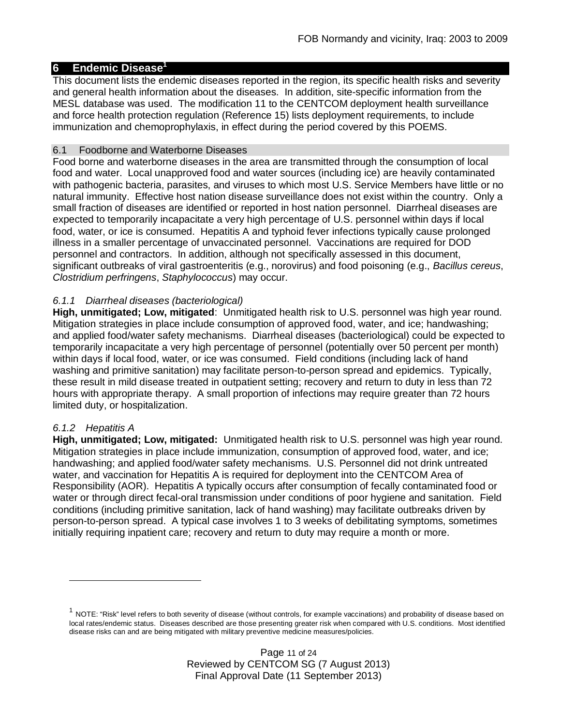### **6 Endemic Disease<sup>1</sup>**

This document lists the endemic diseases reported in the region, its specific health risks and severity and general health information about the diseases. In addition, site-specific information from the MESL database was used. The modification 11 to the CENTCOM deployment health surveillance and force health protection regulation (Reference 15) lists deployment requirements, to include immunization and chemoprophylaxis, in effect during the period covered by this POEMS.

#### 6.1 Foodborne and Waterborne Diseases

Food borne and waterborne diseases in the area are transmitted through the consumption of local food and water. Local unapproved food and water sources (including ice) are heavily contaminated with pathogenic bacteria, parasites, and viruses to which most U.S. Service Members have little or no natural immunity. Effective host nation disease surveillance does not exist within the country. Only a small fraction of diseases are identified or reported in host nation personnel. Diarrheal diseases are expected to temporarily incapacitate a very high percentage of U.S. personnel within days if local food, water, or ice is consumed. Hepatitis A and typhoid fever infections typically cause prolonged illness in a smaller percentage of unvaccinated personnel. Vaccinations are required for DOD personnel and contractors. In addition, although not specifically assessed in this document, significant outbreaks of viral gastroenteritis (e.g., norovirus) and food poisoning (e.g., *Bacillus cereus*, *Clostridium perfringens*, *Staphylococcus*) may occur.

### *6.1.1 Diarrheal diseases (bacteriological)*

**High, unmitigated; Low, mitigated**: Unmitigated health risk to U.S. personnel was high year round. Mitigation strategies in place include consumption of approved food, water, and ice; handwashing; and applied food/water safety mechanisms. Diarrheal diseases (bacteriological) could be expected to temporarily incapacitate a very high percentage of personnel (potentially over 50 percent per month) within days if local food, water, or ice was consumed. Field conditions (including lack of hand washing and primitive sanitation) may facilitate person-to-person spread and epidemics. Typically, these result in mild disease treated in outpatient setting; recovery and return to duty in less than 72 hours with appropriate therapy. A small proportion of infections may require greater than 72 hours limited duty, or hospitalization.

### *6.1.2 Hepatitis A*

**High, unmitigated; Low, mitigated:** Unmitigated health risk to U.S. personnel was high year round. Mitigation strategies in place include immunization, consumption of approved food, water, and ice; handwashing; and applied food/water safety mechanisms. U.S. Personnel did not drink untreated water, and vaccination for Hepatitis A is required for deployment into the CENTCOM Area of Responsibility (AOR). Hepatitis A typically occurs after consumption of fecally contaminated food or water or through direct fecal-oral transmission under conditions of poor hygiene and sanitation. Field conditions (including primitive sanitation, lack of hand washing) may facilitate outbreaks driven by person-to-person spread. A typical case involves 1 to 3 weeks of debilitating symptoms, sometimes initially requiring inpatient care; recovery and return to duty may require a month or more.

 $^{\text{1}}$  NOTE: "Risk" level refers to both severity of disease (without controls, for example vaccinations) and probability of disease based on local rates/endemic status. Diseases described are those presenting greater risk when compared with U.S. conditions. Most identified disease risks can and are being mitigated with military preventive medicine measures/policies.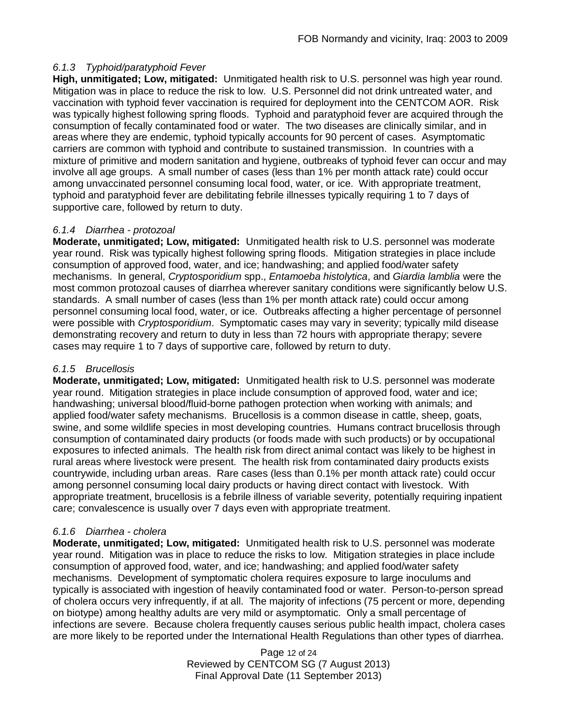### *6.1.3 Typhoid/paratyphoid Fever*

**High, unmitigated; Low, mitigated:** Unmitigated health risk to U.S. personnel was high year round. Mitigation was in place to reduce the risk to low. U.S. Personnel did not drink untreated water, and vaccination with typhoid fever vaccination is required for deployment into the CENTCOM AOR. Risk was typically highest following spring floods. Typhoid and paratyphoid fever are acquired through the consumption of fecally contaminated food or water. The two diseases are clinically similar, and in areas where they are endemic, typhoid typically accounts for 90 percent of cases. Asymptomatic carriers are common with typhoid and contribute to sustained transmission. In countries with a mixture of primitive and modern sanitation and hygiene, outbreaks of typhoid fever can occur and may involve all age groups. A small number of cases (less than 1% per month attack rate) could occur among unvaccinated personnel consuming local food, water, or ice. With appropriate treatment, typhoid and paratyphoid fever are debilitating febrile illnesses typically requiring 1 to 7 days of supportive care, followed by return to duty.

### *6.1.4 Diarrhea - protozoal*

**Moderate, unmitigated; Low, mitigated:** Unmitigated health risk to U.S. personnel was moderate year round. Risk was typically highest following spring floods. Mitigation strategies in place include consumption of approved food, water, and ice; handwashing; and applied food/water safety mechanisms. In general, *Cryptosporidium* spp., *Entamoeba histolytica*, and *Giardia lamblia* were the most common protozoal causes of diarrhea wherever sanitary conditions were significantly below U.S. standards. A small number of cases (less than 1% per month attack rate) could occur among personnel consuming local food, water, or ice. Outbreaks affecting a higher percentage of personnel were possible with *Cryptosporidium*. Symptomatic cases may vary in severity; typically mild disease demonstrating recovery and return to duty in less than 72 hours with appropriate therapy; severe cases may require 1 to 7 days of supportive care, followed by return to duty.

### *6.1.5 Brucellosis*

**Moderate, unmitigated; Low, mitigated:** Unmitigated health risk to U.S. personnel was moderate year round. Mitigation strategies in place include consumption of approved food, water and ice; handwashing; universal blood/fluid-borne pathogen protection when working with animals; and applied food/water safety mechanisms. Brucellosis is a common disease in cattle, sheep, goats, swine, and some wildlife species in most developing countries. Humans contract brucellosis through consumption of contaminated dairy products (or foods made with such products) or by occupational exposures to infected animals. The health risk from direct animal contact was likely to be highest in rural areas where livestock were present. The health risk from contaminated dairy products exists countrywide, including urban areas. Rare cases (less than 0.1% per month attack rate) could occur among personnel consuming local dairy products or having direct contact with livestock. With appropriate treatment, brucellosis is a febrile illness of variable severity, potentially requiring inpatient care; convalescence is usually over 7 days even with appropriate treatment.

# *6.1.6 Diarrhea - cholera*

**Moderate, unmitigated; Low, mitigated:** Unmitigated health risk to U.S. personnel was moderate year round. Mitigation was in place to reduce the risks to low. Mitigation strategies in place include consumption of approved food, water, and ice; handwashing; and applied food/water safety mechanisms. Development of symptomatic cholera requires exposure to large inoculums and typically is associated with ingestion of heavily contaminated food or water. Person-to-person spread of cholera occurs very infrequently, if at all. The majority of infections (75 percent or more, depending on biotype) among healthy adults are very mild or asymptomatic. Only a small percentage of infections are severe. Because cholera frequently causes serious public health impact, cholera cases are more likely to be reported under the International Health Regulations than other types of diarrhea.

> Page 12 of 24 Reviewed by CENTCOM SG (7 August 2013) Final Approval Date (11 September 2013)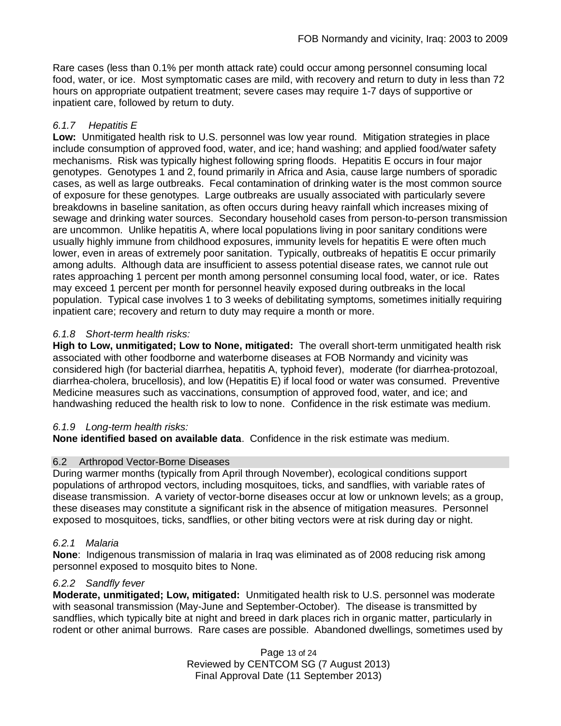Rare cases (less than 0.1% per month attack rate) could occur among personnel consuming local food, water, or ice. Most symptomatic cases are mild, with recovery and return to duty in less than 72 hours on appropriate outpatient treatment; severe cases may require 1-7 days of supportive or inpatient care, followed by return to duty.

# *6.1.7 Hepatitis E*

**Low:** Unmitigated health risk to U.S. personnel was low year round. Mitigation strategies in place include consumption of approved food, water, and ice; hand washing; and applied food/water safety mechanisms. Risk was typically highest following spring floods. Hepatitis E occurs in four major genotypes. Genotypes 1 and 2, found primarily in Africa and Asia, cause large numbers of sporadic cases, as well as large outbreaks. Fecal contamination of drinking water is the most common source of exposure for these genotypes. Large outbreaks are usually associated with particularly severe breakdowns in baseline sanitation, as often occurs during heavy rainfall which increases mixing of sewage and drinking water sources. Secondary household cases from person-to-person transmission are uncommon. Unlike hepatitis A, where local populations living in poor sanitary conditions were usually highly immune from childhood exposures, immunity levels for hepatitis E were often much lower, even in areas of extremely poor sanitation. Typically, outbreaks of hepatitis E occur primarily among adults. Although data are insufficient to assess potential disease rates, we cannot rule out rates approaching 1 percent per month among personnel consuming local food, water, or ice. Rates may exceed 1 percent per month for personnel heavily exposed during outbreaks in the local population. Typical case involves 1 to 3 weeks of debilitating symptoms, sometimes initially requiring inpatient care; recovery and return to duty may require a month or more.

# *6.1.8 Short-term health risks:*

**High to Low, unmitigated; Low to None, mitigated:** The overall short-term unmitigated health risk associated with other foodborne and waterborne diseases at FOB Normandy and vicinity was considered high (for bacterial diarrhea, hepatitis A, typhoid fever), moderate (for diarrhea-protozoal, diarrhea-cholera, brucellosis), and low (Hepatitis E) if local food or water was consumed. Preventive Medicine measures such as vaccinations, consumption of approved food, water, and ice; and handwashing reduced the health risk to low to none. Confidence in the risk estimate was medium.

# *6.1.9 Long-term health risks:*

**None identified based on available data**. Confidence in the risk estimate was medium.

# 6.2 Arthropod Vector-Borne Diseases

During warmer months (typically from April through November), ecological conditions support populations of arthropod vectors, including mosquitoes, ticks, and sandflies, with variable rates of disease transmission. A variety of vector-borne diseases occur at low or unknown levels; as a group, these diseases may constitute a significant risk in the absence of mitigation measures. Personnel exposed to mosquitoes, ticks, sandflies, or other biting vectors were at risk during day or night.

# *6.2.1 Malaria*

**None**: Indigenous transmission of malaria in Iraq was eliminated as of 2008 reducing risk among personnel exposed to mosquito bites to None.

# *6.2.2 Sandfly fever*

**Moderate, unmitigated; Low, mitigated:** Unmitigated health risk to U.S. personnel was moderate with seasonal transmission (May-June and September-October). The disease is transmitted by sandflies, which typically bite at night and breed in dark places rich in organic matter, particularly in rodent or other animal burrows. Rare cases are possible. Abandoned dwellings, sometimes used by

> Page 13 of 24 Reviewed by CENTCOM SG (7 August 2013) Final Approval Date (11 September 2013)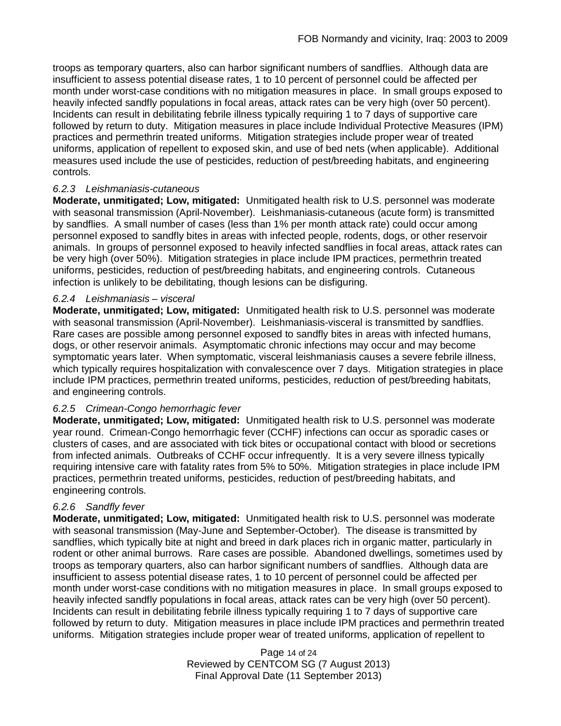troops as temporary quarters, also can harbor significant numbers of sandflies. Although data are insufficient to assess potential disease rates, 1 to 10 percent of personnel could be affected per month under worst-case conditions with no mitigation measures in place. In small groups exposed to heavily infected sandfly populations in focal areas, attack rates can be very high (over 50 percent). Incidents can result in debilitating febrile illness typically requiring 1 to 7 days of supportive care followed by return to duty. Mitigation measures in place include Individual Protective Measures (IPM) practices and permethrin treated uniforms. Mitigation strategies include proper wear of treated uniforms, application of repellent to exposed skin, and use of bed nets (when applicable). Additional measures used include the use of pesticides, reduction of pest/breeding habitats, and engineering controls.

### *6.2.3 Leishmaniasis-cutaneous*

**Moderate, unmitigated; Low, mitigated:** Unmitigated health risk to U.S. personnel was moderate with seasonal transmission (April-November). Leishmaniasis-cutaneous (acute form) is transmitted by sandflies. A small number of cases (less than 1% per month attack rate) could occur among personnel exposed to sandfly bites in areas with infected people, rodents, dogs, or other reservoir animals. In groups of personnel exposed to heavily infected sandflies in focal areas, attack rates can be very high (over 50%). Mitigation strategies in place include IPM practices, permethrin treated uniforms, pesticides, reduction of pest/breeding habitats, and engineering controls. Cutaneous infection is unlikely to be debilitating, though lesions can be disfiguring.

### *6.2.4 Leishmaniasis – visceral*

**Moderate, unmitigated; Low, mitigated:** Unmitigated health risk to U.S. personnel was moderate with seasonal transmission (April-November). Leishmaniasis-visceral is transmitted by sandflies. Rare cases are possible among personnel exposed to sandfly bites in areas with infected humans, dogs, or other reservoir animals. Asymptomatic chronic infections may occur and may become symptomatic years later. When symptomatic, visceral leishmaniasis causes a severe febrile illness, which typically requires hospitalization with convalescence over 7 days. Mitigation strategies in place include IPM practices, permethrin treated uniforms, pesticides, reduction of pest/breeding habitats, and engineering controls.

### *6.2.5 Crimean-Congo hemorrhagic fever*

**Moderate, unmitigated; Low, mitigated:** Unmitigated health risk to U.S. personnel was moderate year round. Crimean-Congo hemorrhagic fever (CCHF) infections can occur as sporadic cases or clusters of cases, and are associated with tick bites or occupational contact with blood or secretions from infected animals. Outbreaks of CCHF occur infrequently. It is a very severe illness typically requiring intensive care with fatality rates from 5% to 50%. Mitigation strategies in place include IPM practices, permethrin treated uniforms, pesticides, reduction of pest/breeding habitats, and engineering controls.

# *6.2.6 Sandfly fever*

**Moderate, unmitigated; Low, mitigated:** Unmitigated health risk to U.S. personnel was moderate with seasonal transmission (May-June and September-October). The disease is transmitted by sandflies, which typically bite at night and breed in dark places rich in organic matter, particularly in rodent or other animal burrows. Rare cases are possible. Abandoned dwellings, sometimes used by troops as temporary quarters, also can harbor significant numbers of sandflies. Although data are insufficient to assess potential disease rates, 1 to 10 percent of personnel could be affected per month under worst-case conditions with no mitigation measures in place. In small groups exposed to heavily infected sandfly populations in focal areas, attack rates can be very high (over 50 percent). Incidents can result in debilitating febrile illness typically requiring 1 to 7 days of supportive care followed by return to duty. Mitigation measures in place include IPM practices and permethrin treated uniforms. Mitigation strategies include proper wear of treated uniforms, application of repellent to

> Page 14 of 24 Reviewed by CENTCOM SG (7 August 2013) Final Approval Date (11 September 2013)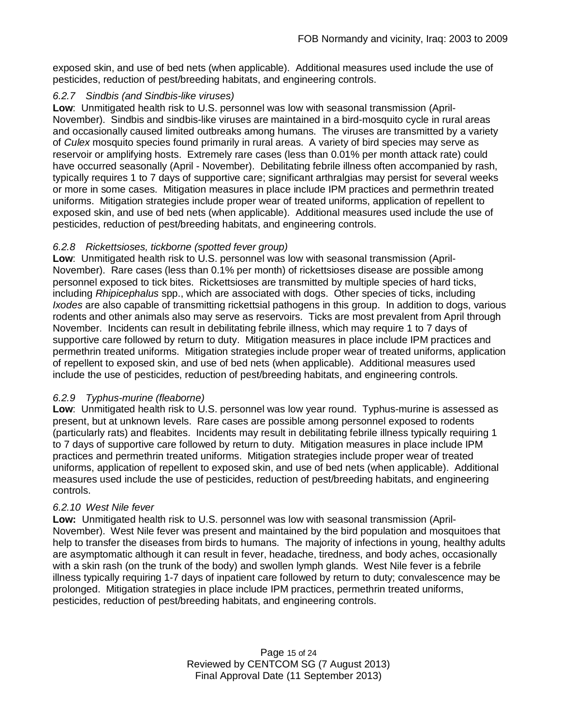exposed skin, and use of bed nets (when applicable). Additional measures used include the use of pesticides, reduction of pest/breeding habitats, and engineering controls.

### *6.2.7 Sindbis (and Sindbis-like viruses)*

**Low**: Unmitigated health risk to U.S. personnel was low with seasonal transmission (April-November). Sindbis and sindbis-like viruses are maintained in a bird-mosquito cycle in rural areas and occasionally caused limited outbreaks among humans. The viruses are transmitted by a variety of *Culex* mosquito species found primarily in rural areas. A variety of bird species may serve as reservoir or amplifying hosts. Extremely rare cases (less than 0.01% per month attack rate) could have occurred seasonally (April - November). Debilitating febrile illness often accompanied by rash, typically requires 1 to 7 days of supportive care; significant arthralgias may persist for several weeks or more in some cases. Mitigation measures in place include IPM practices and permethrin treated uniforms. Mitigation strategies include proper wear of treated uniforms, application of repellent to exposed skin, and use of bed nets (when applicable). Additional measures used include the use of pesticides, reduction of pest/breeding habitats, and engineering controls.

# *6.2.8 Rickettsioses, tickborne (spotted fever group)*

**Low**: Unmitigated health risk to U.S. personnel was low with seasonal transmission (April-November). Rare cases (less than 0.1% per month) of rickettsioses disease are possible among personnel exposed to tick bites. Rickettsioses are transmitted by multiple species of hard ticks, including *Rhipicephalus* spp., which are associated with dogs. Other species of ticks, including *Ixodes* are also capable of transmitting rickettsial pathogens in this group. In addition to dogs, various rodents and other animals also may serve as reservoirs. Ticks are most prevalent from April through November. Incidents can result in debilitating febrile illness, which may require 1 to 7 days of supportive care followed by return to duty. Mitigation measures in place include IPM practices and permethrin treated uniforms. Mitigation strategies include proper wear of treated uniforms, application of repellent to exposed skin, and use of bed nets (when applicable). Additional measures used include the use of pesticides, reduction of pest/breeding habitats, and engineering controls.

# *6.2.9 Typhus-murine (fleaborne)*

**Low**: Unmitigated health risk to U.S. personnel was low year round. Typhus-murine is assessed as present, but at unknown levels. Rare cases are possible among personnel exposed to rodents (particularly rats) and fleabites. Incidents may result in debilitating febrile illness typically requiring 1 to 7 days of supportive care followed by return to duty. Mitigation measures in place include IPM practices and permethrin treated uniforms. Mitigation strategies include proper wear of treated uniforms, application of repellent to exposed skin, and use of bed nets (when applicable). Additional measures used include the use of pesticides, reduction of pest/breeding habitats, and engineering controls.

# *6.2.10 West Nile fever*

**Low:** Unmitigated health risk to U.S. personnel was low with seasonal transmission (April-November). West Nile fever was present and maintained by the bird population and mosquitoes that help to transfer the diseases from birds to humans. The majority of infections in young, healthy adults are asymptomatic although it can result in fever, headache, tiredness, and body aches, occasionally with a skin rash (on the trunk of the body) and swollen lymph glands. West Nile fever is a febrile illness typically requiring 1-7 days of inpatient care followed by return to duty; convalescence may be prolonged. Mitigation strategies in place include IPM practices, permethrin treated uniforms, pesticides, reduction of pest/breeding habitats, and engineering controls.

> Page 15 of 24 Reviewed by CENTCOM SG (7 August 2013) Final Approval Date (11 September 2013)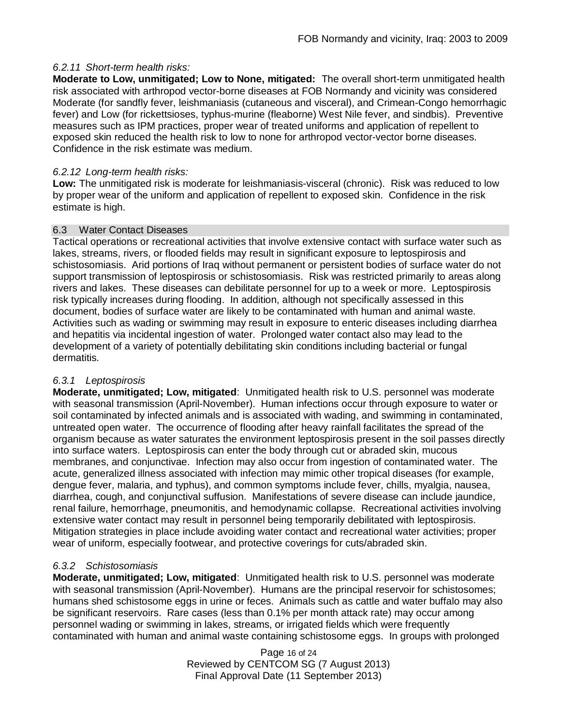### *6.2.11 Short-term health risks:*

**Moderate to Low, unmitigated; Low to None, mitigated:** The overall short-term unmitigated health risk associated with arthropod vector-borne diseases at FOB Normandy and vicinity was considered Moderate (for sandfly fever, leishmaniasis (cutaneous and visceral), and Crimean-Congo hemorrhagic fever) and Low (for rickettsioses, typhus-murine (fleaborne) West Nile fever, and sindbis). Preventive measures such as IPM practices, proper wear of treated uniforms and application of repellent to exposed skin reduced the health risk to low to none for arthropod vector-vector borne diseases. Confidence in the risk estimate was medium.

### *6.2.12 Long-term health risks:*

**Low:** The unmitigated risk is moderate for leishmaniasis-visceral (chronic). Risk was reduced to low by proper wear of the uniform and application of repellent to exposed skin. Confidence in the risk estimate is high.

#### 6.3 Water Contact Diseases

Tactical operations or recreational activities that involve extensive contact with surface water such as lakes, streams, rivers, or flooded fields may result in significant exposure to leptospirosis and schistosomiasis. Arid portions of Iraq without permanent or persistent bodies of surface water do not support transmission of leptospirosis or schistosomiasis. Risk was restricted primarily to areas along rivers and lakes. These diseases can debilitate personnel for up to a week or more. Leptospirosis risk typically increases during flooding. In addition, although not specifically assessed in this document, bodies of surface water are likely to be contaminated with human and animal waste. Activities such as wading or swimming may result in exposure to enteric diseases including diarrhea and hepatitis via incidental ingestion of water. Prolonged water contact also may lead to the development of a variety of potentially debilitating skin conditions including bacterial or fungal dermatitis.

### *6.3.1 Leptospirosis*

**Moderate, unmitigated; Low, mitigated**: Unmitigated health risk to U.S. personnel was moderate with seasonal transmission (April-November). Human infections occur through exposure to water or soil contaminated by infected animals and is associated with wading, and swimming in contaminated, untreated open water. The occurrence of flooding after heavy rainfall facilitates the spread of the organism because as water saturates the environment leptospirosis present in the soil passes directly into surface waters. Leptospirosis can enter the body through cut or abraded skin, mucous membranes, and conjunctivae. Infection may also occur from ingestion of contaminated water. The acute, generalized illness associated with infection may mimic other tropical diseases (for example, dengue fever, malaria, and typhus), and common symptoms include fever, chills, myalgia, nausea, diarrhea, cough, and conjunctival suffusion. Manifestations of severe disease can include jaundice, renal failure, hemorrhage, pneumonitis, and hemodynamic collapse. Recreational activities involving extensive water contact may result in personnel being temporarily debilitated with leptospirosis. Mitigation strategies in place include avoiding water contact and recreational water activities; proper wear of uniform, especially footwear, and protective coverings for cuts/abraded skin.

### *6.3.2 Schistosomiasis*

**Moderate, unmitigated; Low, mitigated**: Unmitigated health risk to U.S. personnel was moderate with seasonal transmission (April-November). Humans are the principal reservoir for schistosomes; humans shed schistosome eggs in urine or feces. Animals such as cattle and water buffalo may also be significant reservoirs. Rare cases (less than 0.1% per month attack rate) may occur among personnel wading or swimming in lakes, streams, or irrigated fields which were frequently contaminated with human and animal waste containing schistosome eggs. In groups with prolonged

> Page 16 of 24 Reviewed by CENTCOM SG (7 August 2013) Final Approval Date (11 September 2013)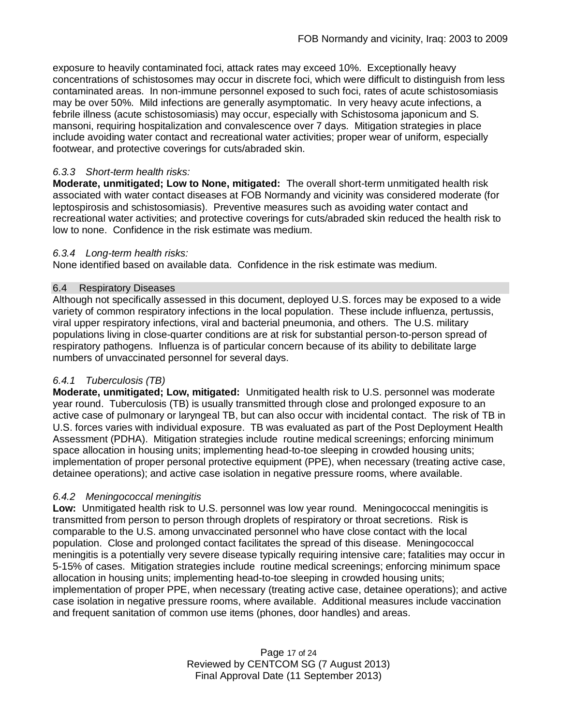exposure to heavily contaminated foci, attack rates may exceed 10%. Exceptionally heavy concentrations of schistosomes may occur in discrete foci, which were difficult to distinguish from less contaminated areas. In non-immune personnel exposed to such foci, rates of acute schistosomiasis may be over 50%. Mild infections are generally asymptomatic. In very heavy acute infections, a febrile illness (acute schistosomiasis) may occur, especially with Schistosoma japonicum and S. mansoni, requiring hospitalization and convalescence over 7 days. Mitigation strategies in place include avoiding water contact and recreational water activities; proper wear of uniform, especially footwear, and protective coverings for cuts/abraded skin.

### *6.3.3 Short-term health risks:*

**Moderate, unmitigated; Low to None, mitigated:** The overall short-term unmitigated health risk associated with water contact diseases at FOB Normandy and vicinity was considered moderate (for leptospirosis and schistosomiasis). Preventive measures such as avoiding water contact and recreational water activities; and protective coverings for cuts/abraded skin reduced the health risk to low to none. Confidence in the risk estimate was medium.

### *6.3.4 Long-term health risks:*

None identified based on available data. Confidence in the risk estimate was medium.

### 6.4 Respiratory Diseases

Although not specifically assessed in this document, deployed U.S. forces may be exposed to a wide variety of common respiratory infections in the local population. These include influenza, pertussis, viral upper respiratory infections, viral and bacterial pneumonia, and others. The U.S. military populations living in close-quarter conditions are at risk for substantial person-to-person spread of respiratory pathogens. Influenza is of particular concern because of its ability to debilitate large numbers of unvaccinated personnel for several days.

# *6.4.1 Tuberculosis (TB)*

**Moderate, unmitigated; Low, mitigated:** Unmitigated health risk to U.S. personnel was moderate year round. Tuberculosis (TB) is usually transmitted through close and prolonged exposure to an active case of pulmonary or laryngeal TB, but can also occur with incidental contact. The risk of TB in U.S. forces varies with individual exposure. TB was evaluated as part of the Post Deployment Health Assessment (PDHA). Mitigation strategies include routine medical screenings; enforcing minimum space allocation in housing units; implementing head-to-toe sleeping in crowded housing units; implementation of proper personal protective equipment (PPE), when necessary (treating active case, detainee operations); and active case isolation in negative pressure rooms, where available.

# *6.4.2 Meningococcal meningitis*

**Low:** Unmitigated health risk to U.S. personnel was low year round. Meningococcal meningitis is transmitted from person to person through droplets of respiratory or throat secretions. Risk is comparable to the U.S. among unvaccinated personnel who have close contact with the local population. Close and prolonged contact facilitates the spread of this disease. Meningococcal meningitis is a potentially very severe disease typically requiring intensive care; fatalities may occur in 5-15% of cases. Mitigation strategies include routine medical screenings; enforcing minimum space allocation in housing units; implementing head-to-toe sleeping in crowded housing units; implementation of proper PPE, when necessary (treating active case, detainee operations); and active case isolation in negative pressure rooms, where available. Additional measures include vaccination and frequent sanitation of common use items (phones, door handles) and areas.

> Page 17 of 24 Reviewed by CENTCOM SG (7 August 2013) Final Approval Date (11 September 2013)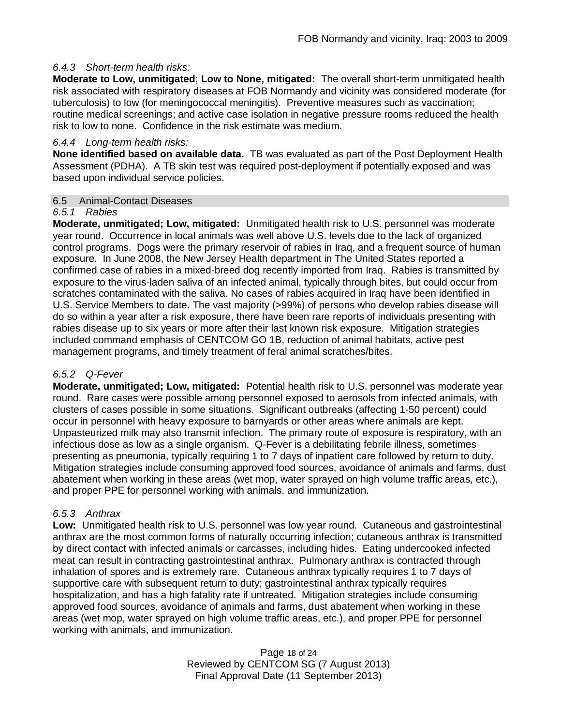### *6.4.3 Short-term health risks:*

**Moderate to Low, unmitigated**; **Low to None, mitigated:** The overall short-term unmitigated health risk associated with respiratory diseases at FOB Normandy and vicinity was considered moderate (for tuberculosis) to low (for meningococcal meningitis). Preventive measures such as vaccination; routine medical screenings; and active case isolation in negative pressure rooms reduced the health risk to low to none. Confidence in the risk estimate was medium.

### *6.4.4 Long-term health risks:*

**None identified based on available data.** TB was evaluated as part of the Post Deployment Health Assessment (PDHA). A TB skin test was required post-deployment if potentially exposed and was based upon individual service policies.

### 6.5 Animal-Contact Diseases

### *6.5.1 Rabies*

**Moderate, unmitigated; Low, mitigated:** Unmitigated health risk to U.S. personnel was moderate year round. Occurrence in local animals was well above U.S. levels due to the lack of organized control programs. Dogs were the primary reservoir of rabies in Iraq, and a frequent source of human exposure. In June 2008, the New Jersey Health department in The United States reported a confirmed case of rabies in a mixed-breed dog recently imported from Iraq. Rabies is transmitted by exposure to the virus-laden saliva of an infected animal, typically through bites, but could occur from scratches contaminated with the saliva. No cases of rabies acquired in Iraq have been identified in U.S. Service Members to date. The vast majority (>99%) of persons who develop rabies disease will do so within a year after a risk exposure, there have been rare reports of individuals presenting with rabies disease up to six years or more after their last known risk exposure. Mitigation strategies included command emphasis of CENTCOM GO 1B, reduction of animal habitats, active pest management programs, and timely treatment of feral animal scratches/bites.

### *6.5.2 Q-Fever*

**Moderate, unmitigated; Low, mitigated:** Potential health risk to U.S. personnel was moderate year round. Rare cases were possible among personnel exposed to aerosols from infected animals, with clusters of cases possible in some situations. Significant outbreaks (affecting 1-50 percent) could occur in personnel with heavy exposure to barnyards or other areas where animals are kept. Unpasteurized milk may also transmit infection. The primary route of exposure is respiratory, with an infectious dose as low as a single organism. Q-Fever is a debilitating febrile illness, sometimes presenting as pneumonia, typically requiring 1 to 7 days of inpatient care followed by return to duty. Mitigation strategies include consuming approved food sources, avoidance of animals and farms, dust abatement when working in these areas (wet mop, water sprayed on high volume traffic areas, etc.), and proper PPE for personnel working with animals, and immunization.

### *6.5.3 Anthrax*

**Low:** Unmitigated health risk to U.S. personnel was low year round. Cutaneous and gastrointestinal anthrax are the most common forms of naturally occurring infection; cutaneous anthrax is transmitted by direct contact with infected animals or carcasses, including hides. Eating undercooked infected meat can result in contracting gastrointestinal anthrax. Pulmonary anthrax is contracted through inhalation of spores and is extremely rare. Cutaneous anthrax typically requires 1 to 7 days of supportive care with subsequent return to duty; gastrointestinal anthrax typically requires hospitalization, and has a high fatality rate if untreated. Mitigation strategies include consuming approved food sources, avoidance of animals and farms, dust abatement when working in these areas (wet mop, water sprayed on high volume traffic areas, etc.), and proper PPE for personnel working with animals, and immunization.

> Page 18 of 24 Reviewed by CENTCOM SG (7 August 2013) Final Approval Date (11 September 2013)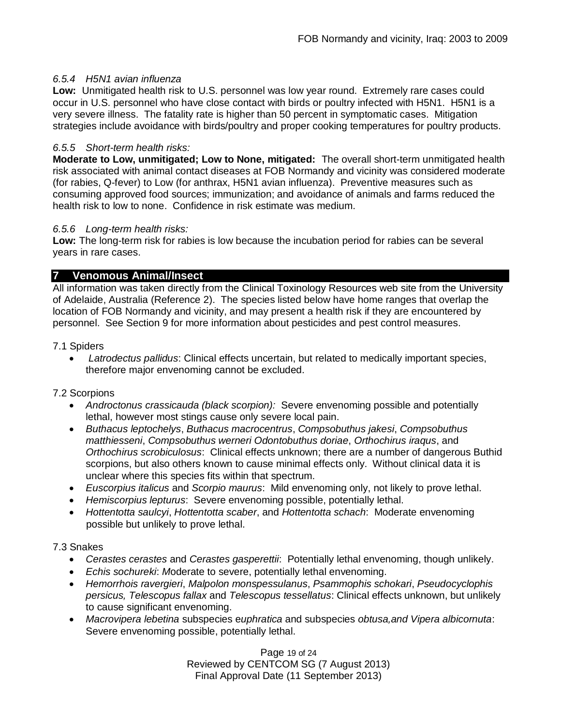### *6.5.4 H5N1 avian influenza*

**Low:** Unmitigated health risk to U.S. personnel was low year round. Extremely rare cases could occur in U.S. personnel who have close contact with birds or poultry infected with H5N1. H5N1 is a very severe illness. The fatality rate is higher than 50 percent in symptomatic cases. Mitigation strategies include avoidance with birds/poultry and proper cooking temperatures for poultry products.

### *6.5.5 Short-term health risks:*

**Moderate to Low, unmitigated; Low to None, mitigated:** The overall short-term unmitigated health risk associated with animal contact diseases at FOB Normandy and vicinity was considered moderate (for rabies, Q-fever) to Low (for anthrax, H5N1 avian influenza). Preventive measures such as consuming approved food sources; immunization; and avoidance of animals and farms reduced the health risk to low to none. Confidence in risk estimate was medium.

#### *6.5.6 Long-term health risks:*

**Low:** The long-term risk for rabies is low because the incubation period for rabies can be several years in rare cases.

### **7 Venomous Animal/Insect**

All information was taken directly from the Clinical Toxinology Resources web site from the University of Adelaide, Australia (Reference 2). The species listed below have home ranges that overlap the location of FOB Normandy and vicinity, and may present a health risk if they are encountered by personnel. See Section 9 for more information about pesticides and pest control measures.

#### 7.1 Spiders

 *Latrodectus pallidus*: Clinical effects uncertain, but related to medically important species, therefore major envenoming cannot be excluded.

### 7.2 Scorpions

- *Androctonus crassicauda (black scorpion):* Severe envenoming possible and potentially lethal, however most stings cause only severe local pain.
- *Buthacus leptochelys*, *Buthacus macrocentrus*, *Compsobuthus jakesi*, *Compsobuthus matthiesseni*, *Compsobuthus werneri Odontobuthus doriae*, *Orthochirus iraqus*, and *Orthochirus scrobiculosus*: Clinical effects unknown; there are a number of dangerous Buthid scorpions, but also others known to cause minimal effects only. Without clinical data it is unclear where this species fits within that spectrum.
- *Euscorpius italicus* and *Scorpio maurus*: Mild envenoming only, not likely to prove lethal.
- *Hemiscorpius lepturus*: Severe envenoming possible, potentially lethal.
- *Hottentotta saulcyi*, *Hottentotta scaber*, and *Hottentotta schach*: Moderate envenoming possible but unlikely to prove lethal.

#### 7.3 Snakes

- *Cerastes cerastes* and *Cerastes gasperettii*: Potentially lethal envenoming, though unlikely.
- *Echis sochureki*: *M*oderate to severe, potentially lethal envenoming.
- *Hemorrhois ravergieri*, *Malpolon monspessulanus*, *Psammophis schokari*, *Pseudocyclophis persicus, Telescopus fallax* and *Telescopus tessellatus*: Clinical effects unknown, but unlikely to cause significant envenoming.
- *Macrovipera lebetina* subspecies e*uphratica* and subspecies *obtusa,and Vipera albicornuta*: Severe envenoming possible, potentially lethal.

Page 19 of 24 Reviewed by CENTCOM SG (7 August 2013) Final Approval Date (11 September 2013)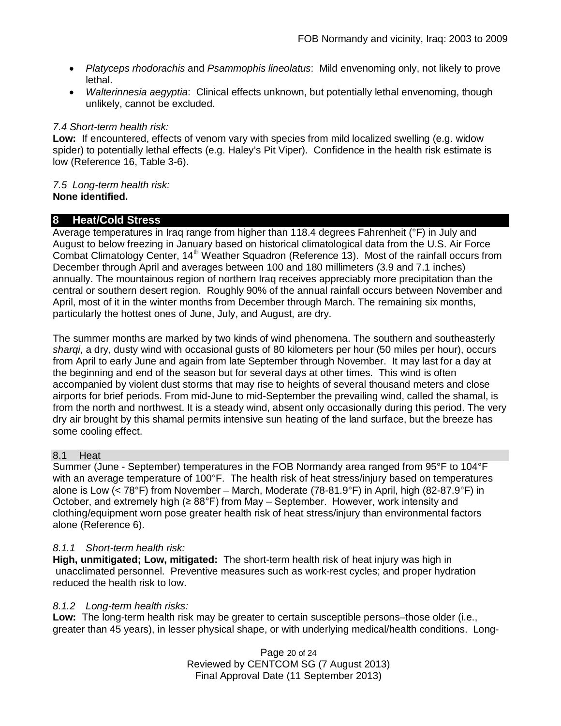- *Platyceps rhodorachis* and *Psammophis lineolatus*: Mild envenoming only, not likely to prove lethal.
- *Walterinnesia aegyptia*: Clinical effects unknown, but potentially lethal envenoming, though unlikely, cannot be excluded.

### *7.4 Short-term health risk:*

**Low:** If encountered, effects of venom vary with species from mild localized swelling (e.g. widow spider) to potentially lethal effects (e.g. Haley's Pit Viper). Confidence in the health risk estimate is low (Reference 16, Table 3-6).

#### *7.5 Long-term health risk:* **None identified.**

### **8 Heat/Cold Stress**

Average temperatures in Iraq range from higher than 118.4 degrees Fahrenheit (°F) in July and August to below freezing in January based on historical climatological data from the U.S. Air Force Combat Climatology Center, 14<sup>th</sup> Weather Squadron (Reference 13). Most of the rainfall occurs from December through April and averages between 100 and 180 millimeters (3.9 and 7.1 inches) annually. The mountainous region of northern Iraq receives appreciably more precipitation than the central or southern desert region. Roughly 90% of the annual rainfall occurs between November and April, most of it in the winter months from December through March. The remaining six months, particularly the hottest ones of June, July, and August, are dry.

The summer months are marked by two kinds of wind phenomena. The southern and southeasterly *sharqi*, a dry, dusty wind with occasional gusts of 80 kilometers per hour (50 miles per hour), occurs from April to early June and again from late September through November. It may last for a day at the beginning and end of the season but for several days at other times. This wind is often accompanied by violent dust storms that may rise to heights of several thousand meters and close airports for brief periods. From mid-June to mid-September the prevailing wind, called the shamal, is from the north and northwest. It is a steady wind, absent only occasionally during this period. The very dry air brought by this shamal permits intensive sun heating of the land surface, but the breeze has some cooling effect.

# 8.1 Heat

Summer (June - September) temperatures in the FOB Normandy area ranged from 95°F to 104°F with an average temperature of 100°F. The health risk of heat stress/injury based on temperatures alone is Low (< 78°F) from November – March, Moderate (78-81.9°F) in April, high (82-87.9°F) in October, and extremely high ( $\geq 88^{\circ}$ F) from May – September. However, work intensity and clothing/equipment worn pose greater health risk of heat stress/injury than environmental factors alone (Reference 6).

# *8.1.1 Short-term health risk:*

**High, unmitigated; Low, mitigated:** The short-term health risk of heat injury was high in unacclimated personnel. Preventive measures such as work-rest cycles; and proper hydration reduced the health risk to low.

### *8.1.2 Long-term health risks:*

**Low:** The long-term health risk may be greater to certain susceptible persons–those older (i.e., greater than 45 years), in lesser physical shape, or with underlying medical/health conditions. Long-

> Page 20 of 24 Reviewed by CENTCOM SG (7 August 2013) Final Approval Date (11 September 2013)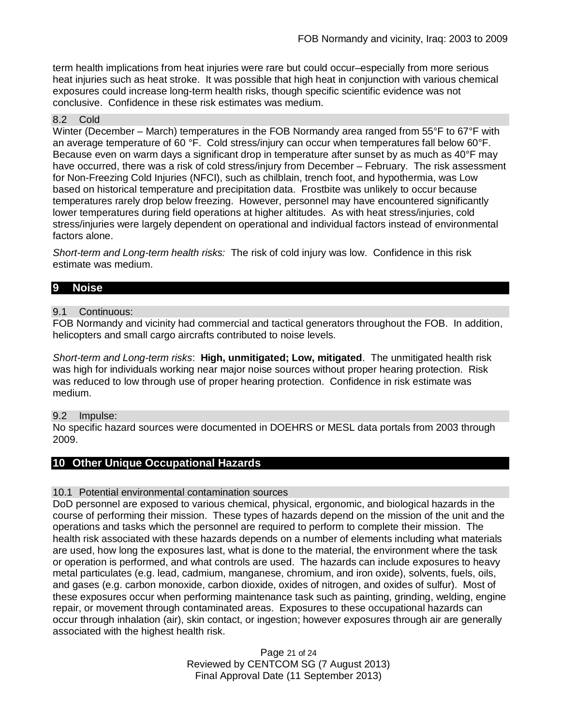term health implications from heat injuries were rare but could occur–especially from more serious heat injuries such as heat stroke. It was possible that high heat in conjunction with various chemical exposures could increase long-term health risks, though specific scientific evidence was not conclusive. Confidence in these risk estimates was medium.

#### 8.2 Cold

Winter (December – March) temperatures in the FOB Normandy area ranged from 55°F to 67°F with an average temperature of 60 °F. Cold stress/injury can occur when temperatures fall below 60°F. Because even on warm days a significant drop in temperature after sunset by as much as 40°F may have occurred, there was a risk of cold stress/injury from December – February. The risk assessment for Non-Freezing Cold Injuries (NFCI), such as chilblain, trench foot, and hypothermia, was Low based on historical temperature and precipitation data. Frostbite was unlikely to occur because temperatures rarely drop below freezing. However, personnel may have encountered significantly lower temperatures during field operations at higher altitudes. As with heat stress/injuries, cold stress/injuries were largely dependent on operational and individual factors instead of environmental factors alone.

*Short-term and Long-term health risks:* The risk of cold injury was low. Confidence in this risk estimate was medium.

### **9 Noise**

#### 9.1 Continuous:

FOB Normandy and vicinity had commercial and tactical generators throughout the FOB. In addition, helicopters and small cargo aircrafts contributed to noise levels.

*Short-term and Long-term risks*: **High, unmitigated; Low, mitigated**. The unmitigated health risk was high for individuals working near major noise sources without proper hearing protection. Risk was reduced to low through use of proper hearing protection. Confidence in risk estimate was medium.

#### 9.2 Impulse:

No specific hazard sources were documented in DOEHRS or MESL data portals from 2003 through 2009.

# **10 Other Unique Occupational Hazards**

#### 10.1 Potential environmental contamination sources

DoD personnel are exposed to various chemical, physical, ergonomic, and biological hazards in the course of performing their mission. These types of hazards depend on the mission of the unit and the operations and tasks which the personnel are required to perform to complete their mission. The health risk associated with these hazards depends on a number of elements including what materials are used, how long the exposures last, what is done to the material, the environment where the task or operation is performed, and what controls are used. The hazards can include exposures to heavy metal particulates (e.g. lead, cadmium, manganese, chromium, and iron oxide), solvents, fuels, oils, and gases (e.g. carbon monoxide, carbon dioxide, oxides of nitrogen, and oxides of sulfur). Most of these exposures occur when performing maintenance task such as painting, grinding, welding, engine repair, or movement through contaminated areas. Exposures to these occupational hazards can occur through inhalation (air), skin contact, or ingestion; however exposures through air are generally associated with the highest health risk.

> Page 21 of 24 Reviewed by CENTCOM SG (7 August 2013) Final Approval Date (11 September 2013)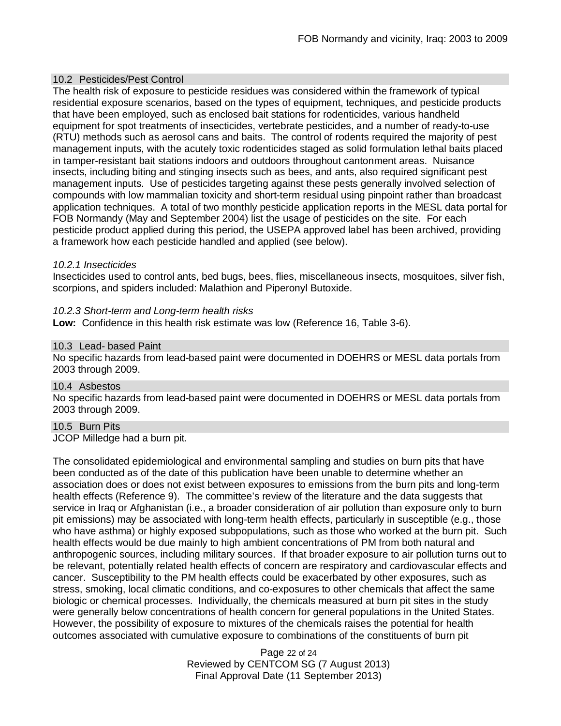### 10.2 Pesticides/Pest Control

The health risk of exposure to pesticide residues was considered within the framework of typical residential exposure scenarios, based on the types of equipment, techniques, and pesticide products that have been employed, such as enclosed bait stations for rodenticides, various handheld equipment for spot treatments of insecticides, vertebrate pesticides, and a number of ready-to-use (RTU) methods such as aerosol cans and baits. The control of rodents required the majority of pest management inputs, with the acutely toxic rodenticides staged as solid formulation lethal baits placed in tamper-resistant bait stations indoors and outdoors throughout cantonment areas. Nuisance insects, including biting and stinging insects such as bees, and ants, also required significant pest management inputs. Use of pesticides targeting against these pests generally involved selection of compounds with low mammalian toxicity and short-term residual using pinpoint rather than broadcast application techniques. A total of two monthly pesticide application reports in the MESL data portal for FOB Normandy (May and September 2004) list the usage of pesticides on the site. For each pesticide product applied during this period, the USEPA approved label has been archived, providing a framework how each pesticide handled and applied (see below).

#### *10.2.1 Insecticides*

Insecticides used to control ants, bed bugs, bees, flies, miscellaneous insects, mosquitoes, silver fish, scorpions, and spiders included: Malathion and Piperonyl Butoxide.

#### *10.2.3 Short-term and Long-term health risks*

**Low:** Confidence in this health risk estimate was low (Reference 16, Table 3-6).

#### 10.3 Lead- based Paint

No specific hazards from lead-based paint were documented in DOEHRS or MESL data portals from 2003 through 2009.

#### 10.4 Asbestos

No specific hazards from lead-based paint were documented in DOEHRS or MESL data portals from 2003 through 2009.

### 10.5 Burn Pits

JCOP Milledge had a burn pit.

The consolidated epidemiological and environmental sampling and studies on burn pits that have been conducted as of the date of this publication have been unable to determine whether an association does or does not exist between exposures to emissions from the burn pits and long-term health effects (Reference 9). The committee's review of the literature and the data suggests that service in Iraq or Afghanistan (i.e., a broader consideration of air pollution than exposure only to burn pit emissions) may be associated with long-term health effects, particularly in susceptible (e.g., those who have asthma) or highly exposed subpopulations, such as those who worked at the burn pit. Such health effects would be due mainly to high ambient concentrations of PM from both natural and anthropogenic sources, including military sources. If that broader exposure to air pollution turns out to be relevant, potentially related health effects of concern are respiratory and cardiovascular effects and cancer. Susceptibility to the PM health effects could be exacerbated by other exposures, such as stress, smoking, local climatic conditions, and co-exposures to other chemicals that affect the same biologic or chemical processes. Individually, the chemicals measured at burn pit sites in the study were generally below concentrations of health concern for general populations in the United States. However, the possibility of exposure to mixtures of the chemicals raises the potential for health outcomes associated with cumulative exposure to combinations of the constituents of burn pit

> Page 22 of 24 Reviewed by CENTCOM SG (7 August 2013) Final Approval Date (11 September 2013)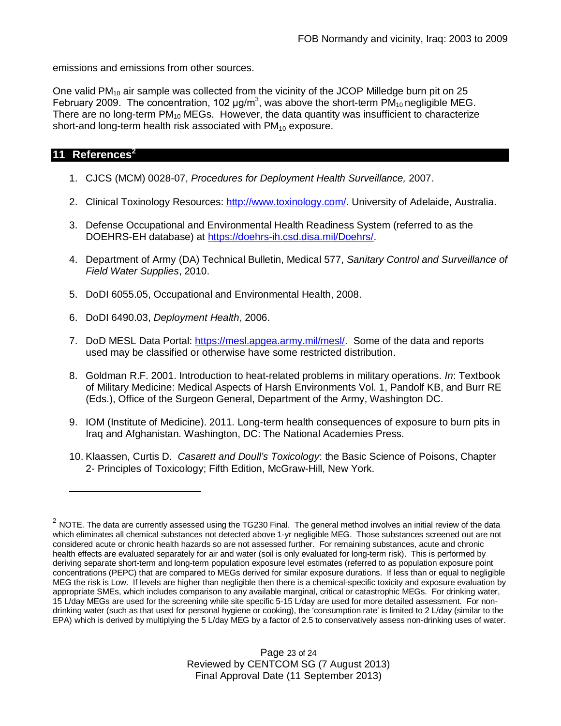emissions and emissions from other sources.

One valid  $PM_{10}$  air sample was collected from the vicinity of the JCOP Milledge burn pit on 25 February 2009. The concentration, 102  $\mu$ g/m<sup>3</sup>, was above the short-term PM<sub>10</sub> negligible MEG. There are no long-term  $PM_{10}$  MEGs. However, the data quantity was insufficient to characterize short-and long-term health risk associated with  $PM_{10}$  exposure.

### **11 References<sup>2</sup>**

- 1. CJCS (MCM) 0028-07, *Procedures for Deployment Health Surveillance,* 2007.
- 2. Clinical Toxinology Resources: http://www.toxinology.com/. University of Adelaide, Australia.
- 3. Defense Occupational and Environmental Health Readiness System (referred to as the DOEHRS-EH database) at https://doehrs-ih.csd.disa.mil/Doehrs/.
- 4. Department of Army (DA) Technical Bulletin, Medical 577, *Sanitary Control and Surveillance of Field Water Supplies*, 2010.
- 5. DoDI 6055.05, Occupational and Environmental Health, 2008.
- 6. DoDI 6490.03, *Deployment Health*, 2006.
- 7. DoD MESL Data Portal: https://mesl.apgea.army.mil/mesl/. Some of the data and reports used may be classified or otherwise have some restricted distribution.
- 8. Goldman R.F. 2001. Introduction to heat-related problems in military operations. *In*: Textbook of Military Medicine: Medical Aspects of Harsh Environments Vol. 1, Pandolf KB, and Burr RE (Eds.), Office of the Surgeon General, Department of the Army, Washington DC.
- 9. IOM (Institute of Medicine). 2011*.* Long-term health consequences of exposure to burn pits in Iraq and Afghanistan*.* Washington, DC: The National Academies Press.
- 10. Klaassen, Curtis D. *Casarett and Doull's Toxicology*: the Basic Science of Poisons, Chapter 2- Principles of Toxicology; Fifth Edition, McGraw-Hill, New York.

Page 23 of 24 Reviewed by CENTCOM SG (7 August 2013) Final Approval Date (11 September 2013)

 $^2$  NOTE. The data are currently assessed using the TG230 Final. The general method involves an initial review of the data which eliminates all chemical substances not detected above 1-yr negligible MEG. Those substances screened out are not considered acute or chronic health hazards so are not assessed further. For remaining substances, acute and chronic health effects are evaluated separately for air and water (soil is only evaluated for long-term risk). This is performed by deriving separate short-term and long-term population exposure level estimates (referred to as population exposure point concentrations (PEPC) that are compared to MEGs derived for similar exposure durations. If less than or equal to negligible MEG the risk is Low. If levels are higher than negligible then there is a chemical-specific toxicity and exposure evaluation by appropriate SMEs, which includes comparison to any available marginal, critical or catastrophic MEGs. For drinking water, 15 L/day MEGs are used for the screening while site specific 5-15 L/day are used for more detailed assessment. For nondrinking water (such as that used for personal hygiene or cooking), the 'consumption rate' is limited to 2 L/day (similar to the EPA) which is derived by multiplying the 5 L/day MEG by a factor of 2.5 to conservatively assess non-drinking uses of water.